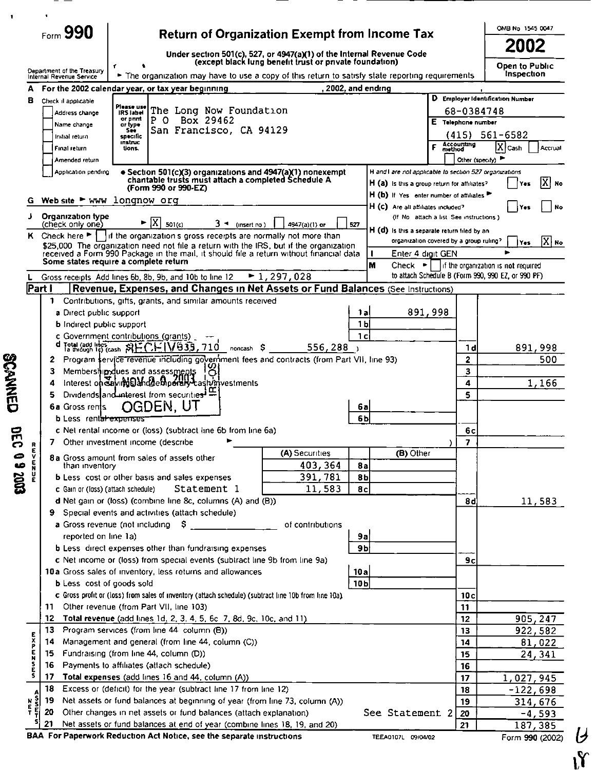|                |                                                                                                                                           |                                                        |                                                                                                                                                                                                                                                     |                      |                                                         |                                                                                                                                                                                    |                |                    |                 |                                             |                                         |         |                                                    | OMB No 1545 0047                    |                 |
|----------------|-------------------------------------------------------------------------------------------------------------------------------------------|--------------------------------------------------------|-----------------------------------------------------------------------------------------------------------------------------------------------------------------------------------------------------------------------------------------------------|----------------------|---------------------------------------------------------|------------------------------------------------------------------------------------------------------------------------------------------------------------------------------------|----------------|--------------------|-----------------|---------------------------------------------|-----------------------------------------|---------|----------------------------------------------------|-------------------------------------|-----------------|
|                | Form 990<br><b>Return of Organization Exempt from Income Tax</b><br>Under section 501(c), 527, or 4947(a)(1) of the Internal Revenue Code |                                                        |                                                                                                                                                                                                                                                     |                      |                                                         |                                                                                                                                                                                    |                |                    |                 | 2002                                        |                                         |         |                                                    |                                     |                 |
|                |                                                                                                                                           |                                                        |                                                                                                                                                                                                                                                     |                      |                                                         | (except black lung benefit trust or private foundation)                                                                                                                            |                |                    |                 |                                             |                                         |         |                                                    | Open to Public                      |                 |
|                |                                                                                                                                           | Department of the Treasury<br>Internal Revenue Service |                                                                                                                                                                                                                                                     |                      |                                                         | The organization may have to use a copy of this return to satisfy state reporting requirements                                                                                     |                |                    |                 |                                             |                                         |         |                                                    | Inspection                          |                 |
|                | А                                                                                                                                         |                                                        |                                                                                                                                                                                                                                                     |                      | For the 2002 calendar year, or tax year beginning       |                                                                                                                                                                                    |                | , 2002, and ending |                 |                                             |                                         |         |                                                    |                                     |                 |
|                | 8                                                                                                                                         | Check il applicable                                    |                                                                                                                                                                                                                                                     | Please use           |                                                         |                                                                                                                                                                                    |                |                    |                 |                                             |                                         |         |                                                    | D Employer Identification Number    |                 |
|                |                                                                                                                                           | Address change                                         |                                                                                                                                                                                                                                                     | IRS label<br>or pant |                                                         | The Long Now Foundation                                                                                                                                                            |                |                    |                 |                                             |                                         |         | 68-0384748                                         |                                     |                 |
|                |                                                                                                                                           | Name change                                            |                                                                                                                                                                                                                                                     | or type.<br>See      | P<br>$\circ$                                            | Box 29462<br>San Francisco, CA 94129                                                                                                                                               |                |                    |                 |                                             |                                         |         | E Telephone number                                 |                                     |                 |
|                |                                                                                                                                           | Initial return                                         |                                                                                                                                                                                                                                                     | specífic<br>instruc  |                                                         |                                                                                                                                                                                    |                |                    |                 |                                             |                                         |         |                                                    | $(415)$ 561-6582                    |                 |
|                |                                                                                                                                           | Final return                                           |                                                                                                                                                                                                                                                     | tions.               |                                                         |                                                                                                                                                                                    |                |                    |                 |                                             |                                         | F       | Accounting<br>method                               | $ \overline{X} $ Cash               | Accrual         |
|                |                                                                                                                                           | Amended return                                         |                                                                                                                                                                                                                                                     |                      |                                                         |                                                                                                                                                                                    |                |                    |                 |                                             |                                         |         | Other (spec.fy)                                    |                                     |                 |
|                |                                                                                                                                           |                                                        | H and I are not applicable to section 527 organizations<br>• Section 501(c)(3) organizations and 4947(a)(1) nonexempt<br>Application pending<br>chantable trusts must attach a completed Schedule A<br>H (a) is this a group return for affiliates? |                      |                                                         |                                                                                                                                                                                    |                |                    |                 |                                             |                                         |         |                                                    |                                     |                 |
|                |                                                                                                                                           |                                                        |                                                                                                                                                                                                                                                     |                      | (Form 990 or 990-EZ)                                    |                                                                                                                                                                                    |                |                    |                 | H (b) If Yes enter number of attiliates     |                                         |         |                                                    |                                     | X  мо           |
|                | G                                                                                                                                         | Web site $\blacktriangleright$ www longnow org         |                                                                                                                                                                                                                                                     |                      |                                                         |                                                                                                                                                                                    |                |                    |                 | H (C) Are all affiliates included?          |                                         |         |                                                    | Yes                                 | No              |
|                |                                                                                                                                           | Organization type                                      |                                                                                                                                                                                                                                                     |                      |                                                         |                                                                                                                                                                                    |                |                    |                 |                                             | (If No attach a list See instructions)  |         |                                                    |                                     |                 |
|                |                                                                                                                                           | (check only one)                                       |                                                                                                                                                                                                                                                     |                      | IX.<br>501(c)                                           | $3 - (insert no)$                                                                                                                                                                  |                | 4947(a)(1) or      | 527             | H (d) is this a separate return filed by an |                                         |         |                                                    |                                     |                 |
|                |                                                                                                                                           |                                                        |                                                                                                                                                                                                                                                     |                      |                                                         | K Check here $\blacktriangleright$   if the organization s gross recepts are normally not more than                                                                                |                |                    |                 |                                             | organization covered by a group ruling? |         |                                                    | Yes                                 | $ X $ No        |
|                |                                                                                                                                           |                                                        |                                                                                                                                                                                                                                                     |                      |                                                         | \$25,000. The organization need not file a return with the IRS, but if the organization<br>received a Form 990 Package in the mail, it should file a return without financial data |                |                    |                 | T                                           | Enter 4 digit GEN                       |         |                                                    |                                     |                 |
|                |                                                                                                                                           |                                                        |                                                                                                                                                                                                                                                     |                      | Some states require a complete return                   |                                                                                                                                                                                    |                |                    |                 | м                                           | $Check$ $\blacktriangleright$           |         |                                                    | If the organization is not required |                 |
|                | L.                                                                                                                                        |                                                        |                                                                                                                                                                                                                                                     |                      | Gross receipts Add lines 6b, 8b, 9b, and 10b to line 12 |                                                                                                                                                                                    | $-1, 297, 028$ |                    |                 |                                             |                                         |         | to attach Schedule B (Form 990, 990 EZ, or 990 PF) |                                     |                 |
|                | Part I                                                                                                                                    |                                                        |                                                                                                                                                                                                                                                     |                      |                                                         | Revenue, Expenses, and Changes in Net Assets or Fund Balances (See Instructions)                                                                                                   |                |                    |                 |                                             |                                         |         |                                                    |                                     |                 |
|                |                                                                                                                                           | $\mathbf{1}$                                           |                                                                                                                                                                                                                                                     |                      |                                                         | Contributions, gifts, grants, and similar amounts received                                                                                                                         |                |                    |                 |                                             |                                         |         |                                                    |                                     |                 |
|                |                                                                                                                                           |                                                        | a Direct public support                                                                                                                                                                                                                             |                      |                                                         |                                                                                                                                                                                    |                |                    | 1 al            |                                             |                                         | 891,998 |                                                    |                                     |                 |
|                |                                                                                                                                           |                                                        | 1 <sub>b</sub><br><b>b</b> Indirect public support<br>c Government contributions (grants)                                                                                                                                                           |                      |                                                         |                                                                                                                                                                                    |                |                    |                 |                                             |                                         |         |                                                    |                                     |                 |
|                |                                                                                                                                           |                                                        |                                                                                                                                                                                                                                                     |                      | Total (and lines SHCHIV935, 710                         |                                                                                                                                                                                    |                |                    | 1c              |                                             |                                         |         |                                                    |                                     |                 |
|                |                                                                                                                                           | 2                                                      |                                                                                                                                                                                                                                                     |                      |                                                         | noncash S<br>Program service revenue including government fees and contracts (from Part VII, line 93)                                                                              |                | 556.288            |                 |                                             |                                         |         | 1 d<br>$\overline{\mathbf{z}}$                     |                                     | 891,998<br>500  |
|                |                                                                                                                                           | з                                                      |                                                                                                                                                                                                                                                     |                      | Membership dues and assessments                         |                                                                                                                                                                                    |                |                    |                 |                                             |                                         |         | 3                                                  |                                     |                 |
| <b>SCANNED</b> |                                                                                                                                           | 4                                                      |                                                                                                                                                                                                                                                     |                      |                                                         | Interest on Saving Dance Choose Vashinivestments                                                                                                                                   |                |                    |                 |                                             |                                         |         | 4                                                  |                                     | 1,166           |
|                |                                                                                                                                           | 5                                                      |                                                                                                                                                                                                                                                     |                      | Dividends and interest from securities <sup>1</sup>     |                                                                                                                                                                                    |                |                    |                 |                                             |                                         |         | 5                                                  |                                     |                 |
|                |                                                                                                                                           |                                                        | <b>6a</b> Gross rents                                                                                                                                                                                                                               |                      | DEN. UT                                                 |                                                                                                                                                                                    |                |                    | 6al             |                                             |                                         |         |                                                    |                                     |                 |
|                |                                                                                                                                           |                                                        | <b>b</b> Less rentatexpenses                                                                                                                                                                                                                        |                      |                                                         |                                                                                                                                                                                    |                |                    | 6b              |                                             |                                         |         |                                                    |                                     |                 |
| ਜ              |                                                                                                                                           |                                                        |                                                                                                                                                                                                                                                     |                      |                                                         | <b>c</b> Net rental income or (loss) (subtract line 6b from line 6a)                                                                                                               |                |                    |                 |                                             |                                         |         | 6с                                                 |                                     |                 |
|                | R                                                                                                                                         | 7.                                                     |                                                                                                                                                                                                                                                     |                      | Other investment income (describe                       |                                                                                                                                                                                    |                |                    |                 |                                             |                                         |         | $\overline{ }$                                     |                                     |                 |
|                | ć.                                                                                                                                        |                                                        |                                                                                                                                                                                                                                                     |                      | 8a Gross amount from sales of assets other              |                                                                                                                                                                                    |                | (A) Securities     |                 |                                             | (B) Other                               |         |                                                    |                                     |                 |
|                | $\frac{E}{N}$                                                                                                                             |                                                        | than inventory                                                                                                                                                                                                                                      |                      |                                                         |                                                                                                                                                                                    |                | 403, 364           | <b>8a</b>       |                                             |                                         |         |                                                    |                                     |                 |
| 200260         |                                                                                                                                           |                                                        |                                                                                                                                                                                                                                                     |                      | <b>b</b> Less cost or other basis and sales expenses    |                                                                                                                                                                                    |                | 391,781            | 8 <sub>b</sub>  |                                             |                                         |         |                                                    |                                     |                 |
|                |                                                                                                                                           |                                                        | c Gain or (loss) (attach schedule)                                                                                                                                                                                                                  |                      |                                                         | Statement 1                                                                                                                                                                        |                | 11,583             | 8c              |                                             |                                         |         |                                                    |                                     |                 |
|                |                                                                                                                                           |                                                        | d Net gain or (loss) (combine line 8c, columns (A) and (B))<br>9 Special events and activities (attach schedule)                                                                                                                                    |                      |                                                         |                                                                                                                                                                                    |                |                    |                 | 8d                                          |                                         | 11,583  |                                                    |                                     |                 |
|                |                                                                                                                                           |                                                        |                                                                                                                                                                                                                                                     |                      | a Gross revenue (not including $$$                      |                                                                                                                                                                                    |                | of contributions   |                 |                                             |                                         |         |                                                    |                                     |                 |
|                |                                                                                                                                           |                                                        | reported on line 1a)                                                                                                                                                                                                                                |                      |                                                         |                                                                                                                                                                                    |                |                    | 9a              |                                             |                                         |         |                                                    |                                     |                 |
|                |                                                                                                                                           |                                                        |                                                                                                                                                                                                                                                     |                      |                                                         | <b>b</b> Less direct expenses other than fundraising expenses                                                                                                                      |                |                    | 9 <sub>b</sub>  |                                             |                                         |         |                                                    |                                     |                 |
|                |                                                                                                                                           |                                                        |                                                                                                                                                                                                                                                     |                      |                                                         | c Net income or (loss) from special events (subtract line 9b from line 9a)                                                                                                         |                |                    |                 |                                             |                                         |         | 9c                                                 |                                     |                 |
|                |                                                                                                                                           |                                                        |                                                                                                                                                                                                                                                     |                      |                                                         | 10a Gross sales of inventory, less returns and allowances                                                                                                                          |                |                    | 10a             |                                             |                                         |         |                                                    |                                     |                 |
|                |                                                                                                                                           |                                                        | <b>b</b> Less cost of goods sold                                                                                                                                                                                                                    |                      |                                                         |                                                                                                                                                                                    |                |                    | 10 <sub>b</sub> |                                             |                                         |         |                                                    |                                     |                 |
|                |                                                                                                                                           |                                                        | c Gross profit or (loss) from sales of inventory (attach schedule) (subtract line 10b from line 10a).                                                                                                                                               |                      |                                                         |                                                                                                                                                                                    |                |                    |                 | 10c                                         |                                         |         |                                                    |                                     |                 |
|                |                                                                                                                                           | 11.                                                    |                                                                                                                                                                                                                                                     |                      | Other revenue (from Part VII, line 103)                 |                                                                                                                                                                                    |                |                    |                 |                                             |                                         |         | 11                                                 |                                     |                 |
|                |                                                                                                                                           | 12                                                     |                                                                                                                                                                                                                                                     |                      |                                                         | Total revenue (add lines 1d, 2, 3, 4, 5, 6c 7, 8d, 9c, 10c, and 11).                                                                                                               |                |                    |                 |                                             |                                         |         | 12                                                 |                                     | 905, 247        |
|                |                                                                                                                                           | 13                                                     |                                                                                                                                                                                                                                                     |                      | Program services (from line 44 column (B))              |                                                                                                                                                                                    |                |                    |                 |                                             |                                         |         | 13                                                 |                                     | 922,582         |
|                | <b>EXPEN</b>                                                                                                                              | 14<br>15                                               |                                                                                                                                                                                                                                                     |                      | Fundraising (from line 44, column (D))                  | Management and general (from line 44, column (C))                                                                                                                                  |                |                    |                 |                                             |                                         |         | 14<br>15                                           |                                     | 81,022          |
|                |                                                                                                                                           | 16                                                     |                                                                                                                                                                                                                                                     |                      | Payments to affiliates (attach schedule)                |                                                                                                                                                                                    |                |                    |                 |                                             |                                         |         | 16                                                 |                                     | 24,341          |
|                | S<br>S                                                                                                                                    | 17                                                     |                                                                                                                                                                                                                                                     |                      |                                                         | Total expenses (add lines 16 and 44, column (A))                                                                                                                                   |                |                    |                 |                                             |                                         |         | 17                                                 | 1,027,945                           |                 |
|                |                                                                                                                                           | 18                                                     |                                                                                                                                                                                                                                                     |                      |                                                         | Excess or (deficit) for the year (subtract line 17 from line 12)                                                                                                                   |                |                    |                 |                                             |                                         |         | 18                                                 |                                     | $-122,698$      |
|                | А<br>š                                                                                                                                    | 19                                                     |                                                                                                                                                                                                                                                     |                      |                                                         | Net assets or fund balances at beginning of year (from line 73, column (A))                                                                                                        |                |                    |                 |                                             |                                         |         | 19                                                 |                                     | 314,676         |
|                | N<br>E<br>T                                                                                                                               | 20                                                     |                                                                                                                                                                                                                                                     |                      |                                                         | Other changes in net assets or fund balances (attach explanation)                                                                                                                  |                |                    |                 | See Statement 2                             |                                         |         | 20                                                 |                                     | $-4,593$        |
|                |                                                                                                                                           | 21                                                     |                                                                                                                                                                                                                                                     |                      |                                                         | Net assets or fund balances at end of year (combine lines 18, 19, and 20)                                                                                                          |                |                    |                 |                                             |                                         |         | 21                                                 |                                     | <u>187, 385</u> |
|                |                                                                                                                                           |                                                        |                                                                                                                                                                                                                                                     |                      |                                                         | BAA For Paperwork Reduction Act Notice, see the separate instructions                                                                                                              |                |                    |                 |                                             | TEEA0107L 09/04/02                      |         |                                                    |                                     | Form 990 (2002) |

- $\sim$ 

 $\frac{1}{2}$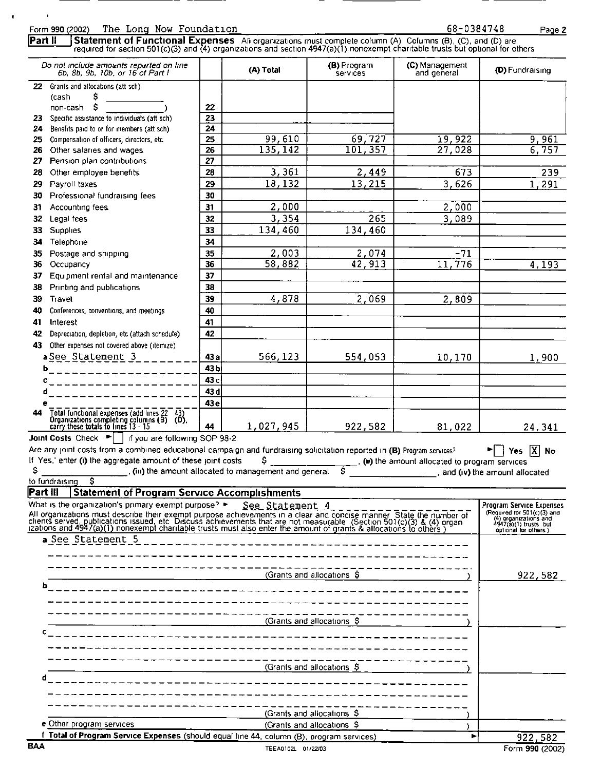Form 990 (2002) The Long Now Foundation<br> **Part II** Statement of Functional Expenses Ali organizations must complete column (A) Columns (B), (C), and (D) are **Statement of Functional Expenses** All organizations must complete column (A) Columns (B), (C), and (D) are required for section 501(c)(3) and 4) organizations and section 4947(a)(1) nonexempt charitable trusts but optional for others Do not include amounts reported on line | | (A) Total | (B) Program | (C) Management | (D) Fundraising<br>
6b, 8b, 9b, 10b, or 16 of Part I | (A) Total | services | and general (D) Fundraising 22 Grants and allocations (att sch) (cash \$<br>non-cash \$ non-cash \$ ) 22 23 Specific assistance to individuals (att sch) 23<br>24 Benefits paid to or for members (att sch) 24 24 Benefits paid to or for members (att sch)  $\begin{array}{|l|l|} \hline 24 \\ \hline \end{array}$ 25 Compensation of officers, directors, etc.  $\begin{array}{|l|c|c|c|c|c|}\n\hline\n & 25 & 99, 610 & 69, 727 & 19, 922 & 9, 961 \\
\hline\n26 & 135, 142 & 101, 357 & 27, 028 & 6, 757 \\
\hline\n\end{array}$ 26 Other salaries and wages  $26$ <br>27 Pension plan contributions  $27$ 27 Pension plan contributions 28 Other employee benefits 28  $\begin{array}{|c|c|c|c|c|c|}\n\hline\n28 & 3,361 & 2,449 & 673 & 239 \\
\hline\n29 & 18,132 & 13,215 & 3,626 & 1,291\n\end{array}$ 29 Payroll taxes  $29$   $29$   $18,132$   $13,215$   $3,626$   $1,291$ 30 Professional fundraising fees 30 31 Accounting fees  $\begin{vmatrix} 31 & 2 \\ 0 & 0 \end{vmatrix}$  2, 000  $\begin{vmatrix} 2 & 0 & 0 \\ 0 & 2 \end{vmatrix}$  2, 000 **32** Legal fees  $3,354$   $3,354$   $265$   $3,089$ 33 Supplies 33 23 23 34,460 134,460 34 Telephone 34 35 Postage and shipping  $\begin{array}{|l|c|c|c|c|}\n\hline\n 35 & 2,003 & 2,074 & -71 \\
\hline\n 36 & 58,882 & 42,913 & 11,776 \\
\hline\n\end{array}$ 36 Occupancy  $36$   $36$   $58,882$   $42,913$   $11,776$   $4,193$ 37 Equipment rental and maintenance | 37

38 Printing and publications | 38

39 Travel 39 39 4,878 2,069 2,809

Ţ

40 Conferences, conventions, and meetings | 40

41 Interest 41

42 Depreciation, depletion, etc (attach schedule) | 42

43 Other expenses not covered above (itemize)

a See\_Statement 3\_\_\_\_\_\_\_| 43a 566,123 554,053 10,170 1,900 1,900 b\_ \_ \_ \_ \_ \_ \_ \_ \_ \_ \_ \_ \_ \_ \_ <sup>w</sup> \_ \_ \_ <sup>43</sup> <sup>b</sup>

<sup>c</sup> \_ \_ \_ \_ \_ \_ \_ \_ \_ \_ \_ \_ \_ \_ \_ \_ \_ \_ \_ <sup>43</sup> <sup>c</sup> d\_\_\_\_\_\_\_\_\_\_\_\_\_\_\_\_\_\_\_\_\_<mark>\_43d</mark> <sup>e</sup> \_ \_ \_ \_ \_ \_ \_ \_ \_ \_ \_ \_ \_ \_ \_ \_ \_ \_ \_ 43c <sup>44</sup> testattesentrrscantata a caPryiheseioiaisiEiineE'ia-is ' <sup>44</sup> 1,027,945 922,582 81,022 24,341

**Joint Costs** Check  $\blacktriangleright$  | if you are following SOP 98-2

Are any joint costs from a combined educational campaign and fundraising solicitation reported in (B) Program services?<br>If Yes,' enter (i) the aggregate amount of these joint costs  $\zeta$  \_\_\_\_\_\_\_\_\_\_\_\_\_\_\_\_\_, (ii) the amount If Yes, enter (i) the aggregate amount of these joint costs  $\frac{1}{2}$  . (ii) the amount allocated to program services  $\frac{1}{2}$  . (iii) the amount allocated to program services  $\begin{array}{c} \hline \end{array}$ , and (iv) the amount allocated to fundraising \$

**Part III** Statement of Program Service Accomplishments

| What is the organization's primary exempt purpose? $\blacktriangleright$                                                                                                                                                      | See Statement 4            | Program Service Expenses                                                                               |
|-------------------------------------------------------------------------------------------------------------------------------------------------------------------------------------------------------------------------------|----------------------------|--------------------------------------------------------------------------------------------------------|
| All organizations must describe their exempt purpose achievements in a clear and concise manner. State the number of clients served, publications issued, etc. Discuss achievements that are not measurable. (Section 501(c)( |                            | (Required for 501(c)(3) and<br>(4) organizations and<br>4947(a)(1) trusts but<br>optional for others ) |
| a See Statement 5                                                                                                                                                                                                             |                            |                                                                                                        |
|                                                                                                                                                                                                                               |                            |                                                                                                        |
|                                                                                                                                                                                                                               |                            |                                                                                                        |
|                                                                                                                                                                                                                               | (Grants and allocations \$ | 922,582                                                                                                |
| b                                                                                                                                                                                                                             |                            |                                                                                                        |
|                                                                                                                                                                                                                               |                            |                                                                                                        |
|                                                                                                                                                                                                                               |                            |                                                                                                        |
|                                                                                                                                                                                                                               | (Grants and allocations \$ |                                                                                                        |
|                                                                                                                                                                                                                               |                            |                                                                                                        |
|                                                                                                                                                                                                                               |                            |                                                                                                        |
|                                                                                                                                                                                                                               |                            |                                                                                                        |
|                                                                                                                                                                                                                               | (Grants and allocations \$ |                                                                                                        |
|                                                                                                                                                                                                                               |                            |                                                                                                        |
|                                                                                                                                                                                                                               |                            |                                                                                                        |
|                                                                                                                                                                                                                               |                            |                                                                                                        |
|                                                                                                                                                                                                                               | (Grants and allocations \$ |                                                                                                        |
| e Other program services                                                                                                                                                                                                      | (Grants and allocations \$ |                                                                                                        |
| Total of Program Service Expenses (should equal line 44, column (B), program services)                                                                                                                                        |                            | 922,582                                                                                                |
| <b>BAA</b>                                                                                                                                                                                                                    | TEEA0102L 01/22/03         | Form 990 (2002)                                                                                        |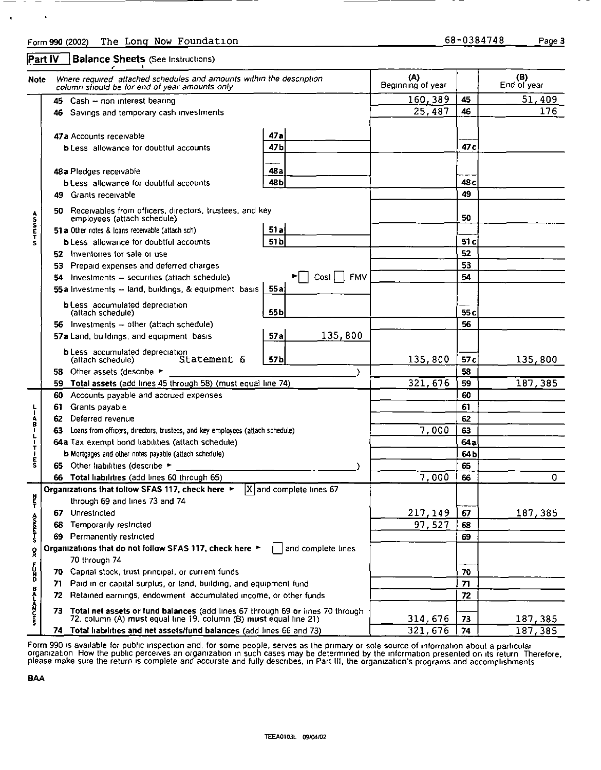Form 990 (2002) The Long Now Foundation (inc. 0390) 08-0384748 page 3

 $-11$ 

Part IV **Balance Sheets** (See Instructions)

 $\bullet$ 

 $\blacksquare$ 

| Note :                     |                                 | Where required attached schedules and amounts within the description<br>column should be for end of year amounts only                               |                                                                | (A)<br>Beginning of year   |                 | (B)<br>End of year |
|----------------------------|---------------------------------|-----------------------------------------------------------------------------------------------------------------------------------------------------|----------------------------------------------------------------|----------------------------|-----------------|--------------------|
|                            |                                 | 45 Cash - non interest bearing                                                                                                                      |                                                                | 160,389                    | 45              | 51,409             |
|                            |                                 | 46 Savings and temporary cash investments                                                                                                           |                                                                | 25,487                     | 46              | 176                |
|                            | 47 a Accounts receivable        |                                                                                                                                                     | 47a                                                            |                            |                 |                    |
|                            |                                 | <b>b</b> Less allowance for doubtful accounts                                                                                                       | 47 <sub>b</sub>                                                |                            | 47 c            |                    |
|                            | 48 a Pledges receivable         |                                                                                                                                                     | 48 a                                                           |                            |                 |                    |
|                            |                                 | <b>b</b> Less allowance for doubtful accounts                                                                                                       | 48b                                                            |                            | 48 <sub>c</sub> |                    |
|                            | <b>Grants receivable</b><br>49. |                                                                                                                                                     |                                                                |                            | 49              |                    |
| A<br>S<br>S<br>E<br>T<br>S | 50.                             | Receivables from officers, directors, trustees, and key<br>employees (attach schedule).                                                             |                                                                |                            | 50              |                    |
|                            |                                 | 51 a Other notes & loans receivable (attach sch)                                                                                                    | 51a                                                            |                            |                 |                    |
|                            |                                 | <b>b</b> Less allowance for doubtful accounts                                                                                                       | 51b                                                            |                            | 51 <sub>c</sub> |                    |
|                            |                                 | 52 Inventories for sale or use                                                                                                                      |                                                                |                            | 52              |                    |
|                            |                                 | 53 Prepaid expenses and deferred charges                                                                                                            |                                                                |                            | 53              |                    |
|                            | 54.                             | Investments - securities (attach schedule)                                                                                                          | <b>FMV</b><br>$\blacktriangleright$   $\lfloor$ Cost $\rfloor$ |                            | 54              |                    |
|                            |                                 | 55 a Investments - land, buildings, & equipment basis                                                                                               | 55a                                                            |                            |                 |                    |
|                            | (attach schedule)               | <b>b</b> Less accumulated depreciation                                                                                                              | 55 <sub>b</sub>                                                |                            | 55 <sub>c</sub> |                    |
|                            |                                 | 56 Investments - other (attach schedule)                                                                                                            |                                                                |                            | 56              |                    |
|                            |                                 | 57a Land, buildings, and equipment basis                                                                                                            | 135,800<br>57a                                                 |                            |                 |                    |
|                            | (attach schedule)               | <b>b</b> Less accumulated depreciation<br>Statement 6                                                                                               | 57 <sub>b</sub>                                                | 135,800                    | 57c             | 135,800            |
|                            | 58.                             | Other assets (describe ►                                                                                                                            |                                                                |                            | 58              |                    |
|                            |                                 | 59 Total assets (add lines 45 through 58) (must equal line 74)                                                                                      |                                                                | 321,676                    | 59              | 187,385            |
|                            | 60                              | Accounts payable and accrued expenses                                                                                                               |                                                                |                            | 60              |                    |
|                            | Grants payable<br>61            |                                                                                                                                                     |                                                                |                            | 61              |                    |
| レーABILITIES                | Deferred revenue<br>62          |                                                                                                                                                     |                                                                |                            | 62              |                    |
|                            | 63                              | Loans from officers, directors, trustees, and key employees (attach schedule)                                                                       |                                                                | 7,000                      | 63              |                    |
|                            |                                 | 64a Tax exempt bond liabilities (attach schedule)                                                                                                   |                                                                | 64a                        |                 |                    |
|                            |                                 | <b>b</b> Mortgages and other notes payable (attach schedule)                                                                                        |                                                                |                            | 64 <sub>b</sub> |                    |
|                            |                                 | 65 Other liabilities (describe >                                                                                                                    |                                                                |                            | 65              |                    |
|                            |                                 | 66 Total liabilities (add lines 60 through 65)<br>Organizations that follow SFAS 117, check here ►                                                  | $\overline{X}$ and complete lines 67                           | 7,000                      | 66              | 0                  |
|                            |                                 | through 69 and lines 73 and 74                                                                                                                      |                                                                |                            |                 |                    |
| 붙                          | 67 Unrestricted                 |                                                                                                                                                     |                                                                |                            |                 |                    |
| <b>A-ILIANS</b>            | 68                              | Temporarily restricted                                                                                                                              |                                                                | <u> 217, 149</u><br>97,527 | 67<br>68        | 187,385            |
|                            | 69                              | Permanently restricted                                                                                                                              |                                                                |                            | 69              |                    |
|                            |                                 | Organizations that do not follow SFAS 117, check here ▶                                                                                             | and complete lines                                             |                            |                 |                    |
| Å                          | 70 through 74                   |                                                                                                                                                     |                                                                |                            |                 |                    |
| n<br>B                     |                                 | 70 Capital stock, trust principal, or current funds                                                                                                 |                                                                |                            | 70              |                    |
|                            | 71.                             | Paid in or capital surplus, or land, building, and equipment fund                                                                                   |                                                                |                            | 71              |                    |
|                            | 72                              | Retained earnings, endowment accumulated income, or other funds                                                                                     |                                                                |                            | 72              |                    |
| <b>DRALANCE</b>            | 73.                             | Total net assets or fund balances (add lines 67 through 69 or lines 70 through<br>72, column (A) must equal line 19, column (B) must equal line 21) |                                                                | 314,676                    | 73              | 187,385            |
|                            |                                 | 74 Total liabilities and net assets/fund balances (add lines 66 and 73)                                                                             |                                                                | 321,676                    | 74              | 187,385            |

Form 990 is available for public inspection and, for some people, serves as the primary or sole source of information about a particular organization. How the public perceives an organization in such cases may be determined by the information presented on its return. Therefore,<br>please make sure the return is complete and accurate and fully describes, in Par

BAA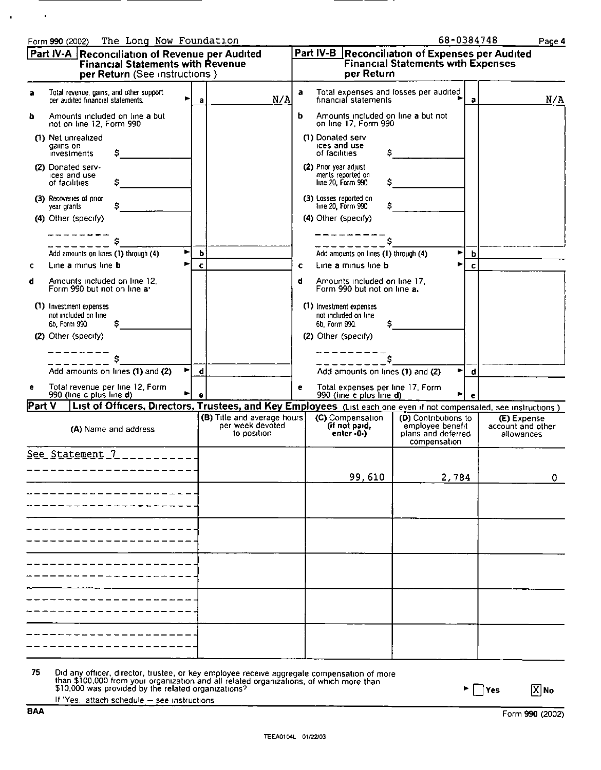.

TEEAOlOdL 01122003

| a      | Total revenue, gains, and other support<br>per audited financial statements. |                                    | а | N/A                                                                                                                | a | financial statements                                             | Total expenses and losses per audited                                          | $\mathbf{a}$       | N/A                                            |
|--------|------------------------------------------------------------------------------|------------------------------------|---|--------------------------------------------------------------------------------------------------------------------|---|------------------------------------------------------------------|--------------------------------------------------------------------------------|--------------------|------------------------------------------------|
| b      | Amounts included on line a but<br>not on line 12, Form 990                   |                                    |   |                                                                                                                    | ь | Amounts included on line a but not<br>on line 17, Form 990       |                                                                                |                    |                                                |
|        | (1) Net unrealized<br>gains on<br>investments                                | s                                  |   |                                                                                                                    |   | (1) Donated serv<br>ices and use<br>of facilities                | s                                                                              |                    |                                                |
|        | (2) Donated serv-<br>ices and use<br>of facilities                           | s                                  |   |                                                                                                                    |   | (2) Prior year adjust<br>ments reported on<br>line 20, Form 990  | s                                                                              |                    |                                                |
|        | (3) Recoveries of prior<br>year grants                                       | Ş.                                 |   |                                                                                                                    |   | (3) Losses reported on<br>line 20, Form 990                      | S.                                                                             |                    |                                                |
|        | (4) Other (specify)                                                          |                                    |   |                                                                                                                    |   | (4) Other (specify)                                              |                                                                                |                    |                                                |
|        |                                                                              | s                                  |   |                                                                                                                    |   |                                                                  | Ś                                                                              |                    |                                                |
|        | Add amounts on lines (1) through (4)                                         |                                    | ь |                                                                                                                    |   | Add amounts on lines (1) through (4)                             |                                                                                | ►<br>b             |                                                |
| c      | Line a minus line b                                                          |                                    | c |                                                                                                                    | с | Line a minus line b                                              |                                                                                | $\mathbf{c}$<br>Þ. |                                                |
| d      | Amounts included on line 12.<br>Form 990 but not on line a'                  |                                    |   |                                                                                                                    | d | Amounts included on line 17,<br>Form 990 but not on line a.      |                                                                                |                    |                                                |
|        | (1) Investment expenses<br>not included on line<br>6b, Form 990              | \$.                                |   |                                                                                                                    |   | (1) Investment expenses<br>not included on line<br>6b. Form 990. | \$                                                                             |                    |                                                |
|        | (2) Other (specify)                                                          |                                    |   |                                                                                                                    |   | (2) Other (specify)                                              |                                                                                |                    |                                                |
|        |                                                                              |                                    |   |                                                                                                                    |   |                                                                  | Ŝ                                                                              |                    |                                                |
|        | Add amounts on lines (1) and (2)                                             | Þ.                                 | d |                                                                                                                    |   | Add amounts on lines (1) and (2)                                 |                                                                                | ►<br>d             |                                                |
| e      | Total revenue per line 12, Form<br>990 (line c plus line d)                  |                                    |   |                                                                                                                    | е | Total expenses per line 17, Form<br>990 (line c plus line d)     |                                                                                | ►                  |                                                |
| Part V |                                                                              |                                    |   | List of Officers, Directors, Trustees, and Key Employees (List each one even if not compensated, see instructions) |   |                                                                  |                                                                                |                    |                                                |
|        |                                                                              | (A) Name and address               |   | (B) Title and average hours<br>per week devoted<br>to position                                                     |   | (C) Compensation<br>(if not paid,<br>enter $-0$ - $)$            | (D) Contributions to<br>employee benefit<br>plans and deferred<br>compensation |                    | (E) Expense<br>account and other<br>allowances |
|        |                                                                              | <u>See Statement 7 __________.</u> |   |                                                                                                                    |   |                                                                  |                                                                                |                    |                                                |
|        |                                                                              |                                    |   |                                                                                                                    |   | 99,610                                                           | 2,784                                                                          |                    | $\mathbf 0$                                    |
|        |                                                                              |                                    |   |                                                                                                                    |   |                                                                  |                                                                                |                    |                                                |
|        |                                                                              |                                    |   |                                                                                                                    |   |                                                                  |                                                                                |                    |                                                |
|        |                                                                              |                                    |   |                                                                                                                    |   |                                                                  |                                                                                |                    |                                                |
|        |                                                                              |                                    |   |                                                                                                                    |   |                                                                  |                                                                                |                    |                                                |
|        |                                                                              |                                    |   |                                                                                                                    |   |                                                                  |                                                                                |                    |                                                |
|        |                                                                              |                                    |   |                                                                                                                    |   |                                                                  |                                                                                |                    |                                                |
|        |                                                                              |                                    |   |                                                                                                                    |   |                                                                  |                                                                                |                    |                                                |

<u>|Part IV-A ||Reconciliation of Revenue per Audited ||Part IV-B ||Reconciliation of Expenses per Audited</u>

per Return (See instructions ) [ The per Return

Financıal Statements with Revenue Financıal Statements with Expenses

75 Did any officer, director, trustee, or key employee receive aggregate compensation of more<br>than \$100,000 from your organization and all related organizations, of which more than<br>\$10,000 was provided by the related org

Form 990 (2002)

If 'Yes, attach schedule - see instructions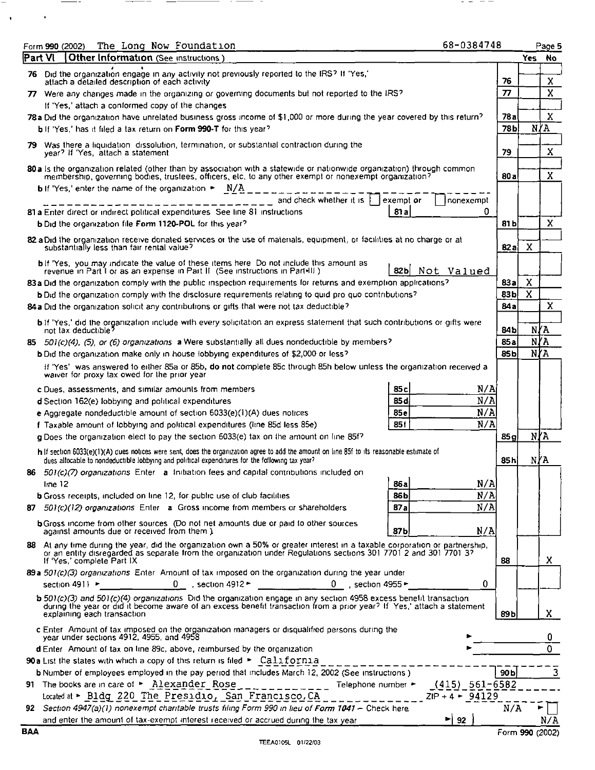|     | The Long Now Foundation<br>Form 990 (2002)                                                                                                                                                                                                                                       | 68-0384748               |                 |                               | Page 5                  |  |  |
|-----|----------------------------------------------------------------------------------------------------------------------------------------------------------------------------------------------------------------------------------------------------------------------------------|--------------------------|-----------------|-------------------------------|-------------------------|--|--|
|     | Part VI<br>Other Information (See instructions                                                                                                                                                                                                                                   |                          |                 |                               | Yes No                  |  |  |
|     | 76 Did the organization engage in any activity not previously reported to the IRS? If 'Yes,'<br>attach a detailed description of each activity                                                                                                                                   |                          | 76              |                               | X                       |  |  |
|     | $\boldsymbol{\pi}$<br>77 Were any changes made in the organizing or governing documents but not reported to the IRS?                                                                                                                                                             |                          |                 |                               |                         |  |  |
|     | If 'Yes,' attach a conformed copy of the changes                                                                                                                                                                                                                                 |                          |                 |                               | $\overline{\mathbf{x}}$ |  |  |
|     | 78 a Did the organization have unrelated business gross income of \$1,000 or more during the year covered by this return?                                                                                                                                                        |                          | 78a             |                               | $\mathbf x$             |  |  |
|     | b If 'Yes,' has it filed a tax return on Form 990-T for this year?                                                                                                                                                                                                               |                          | 78 <sub>b</sub> |                               | N/A                     |  |  |
| 79. | Was there a liquidation dissolution, termination, or substantial contraction during the                                                                                                                                                                                          |                          |                 |                               |                         |  |  |
|     | year? If 'Yes, attach a statement                                                                                                                                                                                                                                                |                          | 79              |                               | X                       |  |  |
|     | 80 a ls the organization related (other than by association with a statewide or nationwide organization) through common<br>membership, governing bodies, trustees, officers, etc, to any other exempt or nonexempt organization?                                                 |                          | 80 a            |                               | X                       |  |  |
|     | <b>b</b> If Yes, enter the name of the organization $\sim N/A$                                                                                                                                                                                                                   |                          |                 |                               |                         |  |  |
|     | and check whether it is $\uparrow$<br>exempt or<br>81 a Enter direct or indirect political expenditures. See line 81 instructions<br>81 a                                                                                                                                        | Inonexempt<br>o          |                 |                               |                         |  |  |
|     | b Did the organization file Form 1120-POL for this year?                                                                                                                                                                                                                         |                          | 81 b            |                               | $\mathbf x$             |  |  |
|     |                                                                                                                                                                                                                                                                                  |                          |                 |                               |                         |  |  |
|     | 82 a Did the organization receive donated services or the use of materials, equipment, or facilities at no charge or at<br>substantially less than fair rental value?                                                                                                            |                          | 82a             | X                             |                         |  |  |
|     | <b>b</b> If 'Yes, you may indicate the value of these items here. Do not include this amount as<br>revenue in Part I or as an expense in Part II (See instructions in Part+III)<br>82 bl                                                                                         | Not Valued               |                 |                               |                         |  |  |
|     | 83a Did the organization comply with the public inspection requirements for returns and exemption applications?                                                                                                                                                                  |                          | 83a             | Χ                             |                         |  |  |
|     | <b>b</b> Did the organization comply with the disclosure requirements relating to quid pro quo contributions?                                                                                                                                                                    |                          | 83 <sub>b</sub> | $\overline{\mathbf{x}}$       |                         |  |  |
|     | 84a Did the organization solicit any contributions or gifts that were not tax deductible?                                                                                                                                                                                        |                          | 84a             |                               | x                       |  |  |
|     | <b>b</b> if 'Yes,' did the organization include with every solicitation an express statement that such contributions or gifts were                                                                                                                                               |                          |                 |                               |                         |  |  |
|     | not tax deductible?                                                                                                                                                                                                                                                              |                          | 84 b            | N/A                           |                         |  |  |
|     | 85 501(c)(4), (5), or (6) organizations a Were substantially all dues nondeductible by members?                                                                                                                                                                                  |                          | 85a             | N/A                           |                         |  |  |
|     | b Did the organization make only in house lobbying expenditures of \$2,000 or less?                                                                                                                                                                                              |                          | 85b             | $\overline{N}$ $\overline{M}$ |                         |  |  |
|     | If 'Yes' was answered to either 85a or 85b, do not complete 85c through 85h below unless the organization received a                                                                                                                                                             |                          |                 |                               |                         |  |  |
|     | waiver for proxy tax owed for the prior year                                                                                                                                                                                                                                     |                          |                 |                               |                         |  |  |
|     | 85c<br>c Dues, assessments, and similar amounts from members                                                                                                                                                                                                                     | N/A                      |                 |                               |                         |  |  |
|     | 85 d<br>d Section 162(e) lobbying and political expenditures                                                                                                                                                                                                                     | N/A                      |                 |                               |                         |  |  |
|     | 85e<br>e Aggregate nondeductible amount of section 6033(e)(1)(A) dues notices                                                                                                                                                                                                    | N/A                      |                 |                               |                         |  |  |
|     | 85f<br>f Taxable amount of lobbying and political expenditures (line 85d less 85e)                                                                                                                                                                                               | N/A                      |                 |                               |                         |  |  |
|     | g Does the organization elect to pay the section 6033(e) tax on the amount on line 85f?                                                                                                                                                                                          |                          | 85 a            | NYA                           |                         |  |  |
|     | h If section 6033(e)(1)(A) dues notices were sent, does the organization agree to add the amount on line 85f to its reasonable estimate of<br>dues allocable to nondeductible lobbying and political expenditures for the following tax year?                                    |                          | 85h             | N∤A                           |                         |  |  |
|     | 86 501(c)(7) organizations Enter a Initiation fees and capital contributions included on                                                                                                                                                                                         |                          |                 |                               |                         |  |  |
|     | 286a<br>line 12                                                                                                                                                                                                                                                                  | N/A                      |                 |                               |                         |  |  |
|     | 86b<br><b>b</b> Gross receipts, included on line 12, for public use of club facilities                                                                                                                                                                                           | N/A                      |                 |                               |                         |  |  |
|     | 87a<br>87 501(c)(12) organizations Enter a Gross income from members or shareholders.                                                                                                                                                                                            | N/A                      |                 |                               |                         |  |  |
|     | <b>b</b> Gross income from other sources (Do not net amounts due or paid to other sources<br>87b<br>against amounts due or received from them.)                                                                                                                                  | N/A                      |                 |                               |                         |  |  |
|     | 88 At any time during the year, did the organization own a 50% or greater interest in a taxable corporation or partnership,<br>or an entity disregarded as separate from the organization under Regulations sections 301 7701 2 and 301 7701 3?                                  |                          |                 |                               |                         |  |  |
|     | If Yes, complete Part IX                                                                                                                                                                                                                                                         |                          | 88              |                               | X                       |  |  |
|     | 89 a 501(c)(3) organizations Enter Amount of tax imposed on the organization during the year under                                                                                                                                                                               | 0                        |                 |                               |                         |  |  |
|     | 0 , section 4912 $+$ 0 , section 4955 $+$<br>section 4911 $\blacktriangleright$                                                                                                                                                                                                  |                          |                 |                               |                         |  |  |
|     | $5.501(c)(3)$ and $501(c)(4)$ organizations. Did the organization engage in any section 4958 excess benefit transaction<br>during the year or did it become aware of an excess benefit transaction from a prior year? If Yes,' attach a statement<br>explaining each transaction |                          | 89 b            |                               | X.                      |  |  |
|     | c Enter. Amount of tax imposed on the organization managers or disqualified persons during the<br>year under sections 4912, 4955, and 4958                                                                                                                                       |                          |                 |                               | 0                       |  |  |
|     | d Enter Amount of tax on line 89c, above, reimbursed by the organization                                                                                                                                                                                                         |                          |                 |                               | $\overline{0}$          |  |  |
|     | 90 a List the states with which a copy of this return is filed > California                                                                                                                                                                                                      |                          |                 |                               |                         |  |  |
|     | b Number of employees employed in the pay period that includes March 12, 2002 (See instructions )                                                                                                                                                                                |                          | 90b             |                               | 3                       |  |  |
|     | 91 The books are in care of $\triangleright$ Alexander Rose _____________<br>Telephone number                                                                                                                                                                                    | $(415) 561-6582$         |                 |                               |                         |  |  |
|     | Located at > Bldg 220 The Presidio, San Francisco, CA                                                                                                                                                                                                                            | $ZIP + 4$ $\div$ 94129   |                 |                               |                         |  |  |
|     | 92 Section 4947(a)(1) nonexempt charitable trusts filing Form 990 in lieu of Form 1041 - Check here                                                                                                                                                                              |                          | N/A             |                               |                         |  |  |
|     | and enter the amount of tax-exempt interest received or accrued during the tax year                                                                                                                                                                                              | $\blacktriangleright$ 92 |                 |                               | N/A                     |  |  |

 $\mathcal{L}_{\mathcal{A}} = \mathcal{L}_{\mathcal{A}} = \mathcal{L}_{\mathcal{A}} = \mathcal{L}_{\mathcal{A}}$ 

-

 $\mathcal{A}^{\text{max}}_{\text{max}}$ 

 $\frac{1}{1-\frac{1}{1-\frac{1}{1-\frac{1}{1-\frac{1}{1-\frac{1}{1-\frac{1}{1-\frac{1}{1-\frac{1}{1-\frac{1}{1-\frac{1}{1-\frac{1}{1-\frac{1}{1-\frac{1}{1-\frac{1}{1-\frac{1}{1-\frac{1}{1-\frac{1}{1-\frac{1}{1-\frac{1}{1-\frac{1}{1-\frac{1}{1-\frac{1}{1-\frac{1}{1-\frac{1}{1-\frac{1}{1-\frac{1}{1-\frac{1}{1-\frac{1}{1-\frac{1}{1-\frac{1}{1-\frac{1}{1-\frac{1}{1-\frac{1}{1-\frac{1}{1-\frac{1}{1-\frac{1$ 

 $-$ 

 $\overline{\phantom{a}}$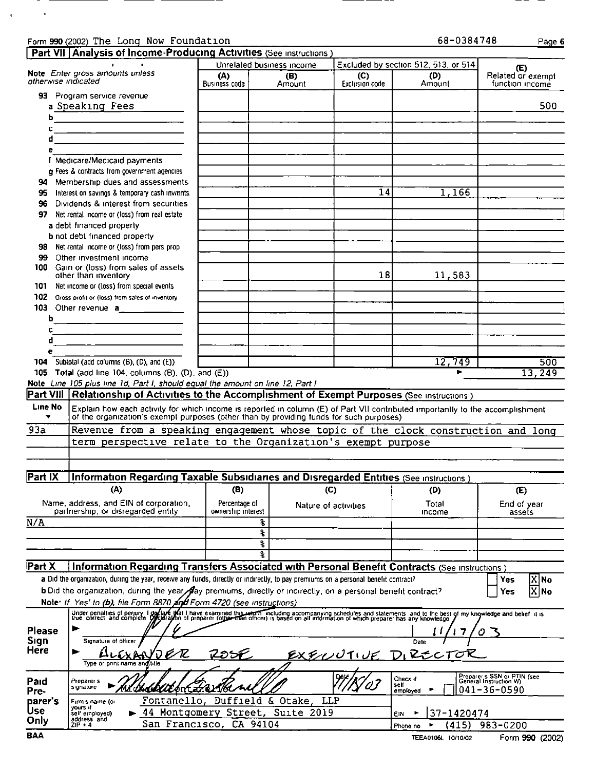## Form 990 (2002) The Long Now Foundation<br>
Dart VII Lanalysis of Income Producing Acts

 $\overline{\phantom{0}}$ 

 $\overline{\phantom{0}}$ 

the contract of the contract of the

————

 $\overline{\phantom{a}}$ 

 $\overline{\phantom{0}}$ 

 $\sim 100$ 

 $\mathbf{A}^{(n)}$  .

| 68-0384748 | Page 6. |
|------------|---------|
|            |         |

==  $\sim$ 

|                         | <b>Part VII   Analysis of Income-Producing Activities</b> (See instructions)                                                                                                                                              |                                     |                                      |                       |                                      |                                                       |
|-------------------------|---------------------------------------------------------------------------------------------------------------------------------------------------------------------------------------------------------------------------|-------------------------------------|--------------------------------------|-----------------------|--------------------------------------|-------------------------------------------------------|
|                         | Note Enter gross amounts unless                                                                                                                                                                                           |                                     | Unrelated business income            |                       | Excluded by section 512, 513, or 514 | (E)                                                   |
| otherwise indicated     |                                                                                                                                                                                                                           | (A)<br>Business code                | (B)<br>Amount                        | (C)<br>Exclusion code | (D)<br>Amount                        | Related or exempt<br>function income                  |
|                         | 93 Program service revenue                                                                                                                                                                                                |                                     |                                      |                       |                                      |                                                       |
|                         | a Speaking Fees                                                                                                                                                                                                           |                                     |                                      |                       |                                      | 500                                                   |
| ь                       |                                                                                                                                                                                                                           |                                     |                                      |                       |                                      |                                                       |
| c                       | <u> 1989 - Andrea Brand, amerikansk politik (</u>                                                                                                                                                                         |                                     |                                      |                       |                                      |                                                       |
|                         |                                                                                                                                                                                                                           |                                     |                                      |                       |                                      |                                                       |
| e                       |                                                                                                                                                                                                                           |                                     |                                      |                       |                                      |                                                       |
|                         | f Medicare/Medicaid payments                                                                                                                                                                                              |                                     |                                      |                       |                                      |                                                       |
|                         | g Fees & contracts from government agencies                                                                                                                                                                               |                                     |                                      |                       |                                      |                                                       |
| 94                      | Membership dues and assessments                                                                                                                                                                                           |                                     |                                      |                       |                                      |                                                       |
| 95                      | Interest on savings & temporary cash invinits                                                                                                                                                                             |                                     |                                      | 14                    | 1,166                                |                                                       |
| 96                      | Dividends & interest from securities                                                                                                                                                                                      |                                     |                                      |                       |                                      |                                                       |
|                         | 97 Net rental income or (loss) from real estate                                                                                                                                                                           |                                     |                                      |                       |                                      |                                                       |
|                         | a debt financed property                                                                                                                                                                                                  |                                     |                                      |                       |                                      |                                                       |
|                         | <b>b</b> not debt financed property                                                                                                                                                                                       |                                     |                                      |                       |                                      |                                                       |
| 98                      | Net rental income or (loss) from pers prop                                                                                                                                                                                |                                     |                                      |                       |                                      |                                                       |
| 99.<br>100              | Other investment income<br>Gain or (loss) from sales of assets                                                                                                                                                            |                                     |                                      |                       |                                      |                                                       |
|                         | other than inventory                                                                                                                                                                                                      |                                     |                                      | 18                    | 11,583                               |                                                       |
| 101.                    | Net income or (loss) from special events                                                                                                                                                                                  |                                     |                                      |                       |                                      |                                                       |
|                         | 102 Gross profit or (loss) from sales of inventory.                                                                                                                                                                       |                                     |                                      |                       |                                      |                                                       |
|                         | 103 Other revenue <b>a</b>                                                                                                                                                                                                |                                     |                                      |                       |                                      |                                                       |
| b                       |                                                                                                                                                                                                                           |                                     |                                      |                       |                                      |                                                       |
| c                       | <u> Liste de la construcción de la construcción de la construcción de la construcción de la construcción de la c</u>                                                                                                      |                                     |                                      |                       |                                      |                                                       |
| d                       | <u> Louis Communication de la communica</u>                                                                                                                                                                               |                                     |                                      |                       |                                      |                                                       |
| ė                       |                                                                                                                                                                                                                           |                                     |                                      |                       |                                      |                                                       |
| 104 -                   | Subtotal (add columns (B), (D), and (E))<br>105 Total (add line 104, columns $(B)$ , $(D)$ , and $(E)$ )                                                                                                                  |                                     |                                      |                       | 12,749                               | 500<br>13,249                                         |
|                         | Note Line 105 plus line 1d, Part I, should equal the amount on line 12, Part I                                                                                                                                            |                                     |                                      |                       |                                      |                                                       |
|                         | Part VIII Relationship of Activities to the Accomplishment of Exempt Purposes (See instructions)                                                                                                                          |                                     |                                      |                       |                                      |                                                       |
| Line No                 |                                                                                                                                                                                                                           |                                     |                                      |                       |                                      |                                                       |
| $\overline{\mathbf{v}}$ | Explain how each activity for which income is reported in column (E) of Part VII contributed importantly to the accomplishment<br>of the organization's exempt purposes (other than by providing funds for such purposes) |                                     |                                      |                       |                                      |                                                       |
| 93a                     | Revenue from a speaking engagement whose topic of the clock construction and long                                                                                                                                         |                                     |                                      |                       |                                      |                                                       |
|                         | term perspective relate to the Organization's exempt purpose                                                                                                                                                              |                                     |                                      |                       |                                      |                                                       |
|                         |                                                                                                                                                                                                                           |                                     |                                      |                       |                                      |                                                       |
|                         |                                                                                                                                                                                                                           |                                     |                                      |                       |                                      |                                                       |
| Part IX                 | Information Regarding Taxable Subsidiaries and Disregarded Entities (See instructions)                                                                                                                                    |                                     |                                      |                       |                                      |                                                       |
|                         | (A)                                                                                                                                                                                                                       | (B)                                 | (C)                                  |                       | (D)                                  | (E)                                                   |
|                         |                                                                                                                                                                                                                           |                                     |                                      |                       |                                      |                                                       |
|                         | Name, address, and EIN of corporation,<br>partnership, or disregarded entity                                                                                                                                              | Percentage of<br>ownership interest | Nature of activities                 |                       | Total<br>income                      | End of year<br>assets                                 |
| N/A                     |                                                                                                                                                                                                                           |                                     | g.                                   |                       |                                      |                                                       |
|                         |                                                                                                                                                                                                                           |                                     | f                                    |                       |                                      |                                                       |
|                         |                                                                                                                                                                                                                           |                                     | f                                    |                       |                                      |                                                       |
|                         |                                                                                                                                                                                                                           |                                     | ę.                                   |                       |                                      |                                                       |
| <b>Part X</b>           | Information Regarding Transfers Associated with Personal Benefit Contracts (See instructions.)                                                                                                                            |                                     |                                      |                       |                                      |                                                       |
|                         | a Did the organization, during the year, receive any funds, directly or indirectly, to pay premiums on a personal benefit contract?                                                                                       |                                     |                                      |                       |                                      | Yes<br>X No                                           |
|                         | b Did the organization, during the year day premiums, directly or indirectly, on a personal benefit contract?                                                                                                             |                                     |                                      |                       |                                      | $\overline{\text{X}}$ No<br>Yes                       |
|                         | Note: If Yes' to (b), file Form 8870 and Form 4720 (see instructions)                                                                                                                                                     |                                     |                                      |                       |                                      |                                                       |
|                         | Under penalties of perjury I gollare that I have examined this wealth including accompanying schedules and statements and to the best of my knowledge and belief it is                                                    |                                     |                                      |                       |                                      |                                                       |
|                         |                                                                                                                                                                                                                           |                                     |                                      |                       |                                      |                                                       |
| <b>Please</b>           |                                                                                                                                                                                                                           |                                     |                                      |                       |                                      |                                                       |
| Sign<br>Here            | Signature of officer                                                                                                                                                                                                      |                                     |                                      |                       | Date                                 |                                                       |
|                         | ▶                                                                                                                                                                                                                         | 70Si                                |                                      | EXECUUTIVE DIRECT     |                                      |                                                       |
|                         | Type or print name and tile                                                                                                                                                                                               |                                     |                                      |                       |                                      |                                                       |
| Paid                    | Preparer <sub>s</sub>                                                                                                                                                                                                     |                                     |                                      |                       | Check if<br>self                     | Preparer s SSN or PTIN (see<br>General Instruction W) |
| Pre-                    | signature<br><b>TATEM</b>                                                                                                                                                                                                 | Æónt arel 1760                      |                                      |                       | employed                             | 041-36-0590                                           |
| parer's<br>Use          | Firm's name (or<br>yours if                                                                                                                                                                                               |                                     | Fontanello, Duffield & Otake,<br>LLP |                       |                                      |                                                       |
| Only                    | sell employed)<br>$address$ and $ZIP + 4$                                                                                                                                                                                 |                                     | 44 Montgomery Street, Suite 2019     |                       | 37-1420474<br>EIN                    |                                                       |
|                         |                                                                                                                                                                                                                           | San Francisco, CA 94104             |                                      |                       | (415)<br>Phone no                    | 983-0200                                              |
| BAA                     |                                                                                                                                                                                                                           |                                     |                                      |                       | TEEA0106L 10/10/02                   | Form 990 (2002)                                       |

 $\sim$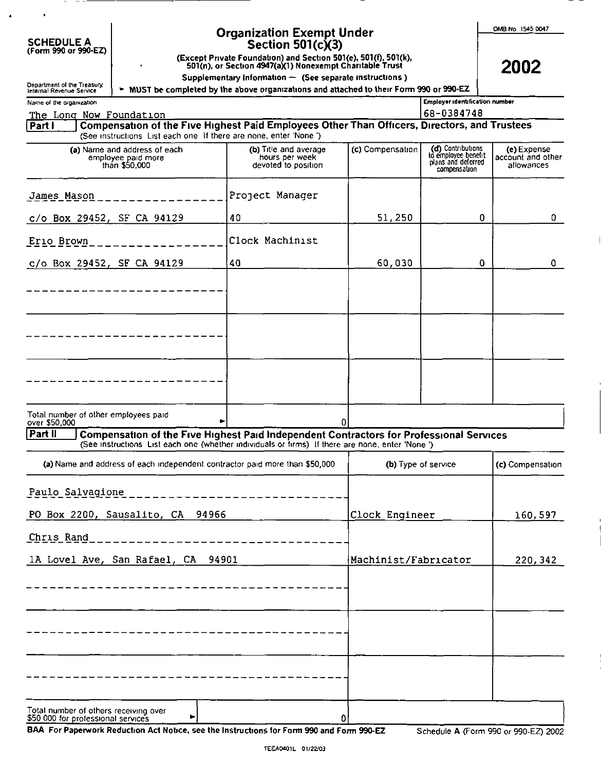| <b>SCHEDULE A</b> |                      |
|-------------------|----------------------|
|                   | (Form 990 or 990-EZ) |

# Organization Exempt Under<br>Section 501(c)(3)<br>(Except Private Foundation) and Section 501(e), 501(f), 501(k),<br>501(n), or Section 4947(a)(1) Nonexempt Charitable Trust

Supplementary Information - (See separate instructions)

2002

| Department of the Treasury<br>Internal Revenue Service                                                                                                                                                       | renentary momentum quee separate momentum j<br>> MUST be completed by the above organizations and attached to their Form 990 or 990-EZ |                  |                                                                                |                                                |  |
|--------------------------------------------------------------------------------------------------------------------------------------------------------------------------------------------------------------|----------------------------------------------------------------------------------------------------------------------------------------|------------------|--------------------------------------------------------------------------------|------------------------------------------------|--|
| Name of the organization                                                                                                                                                                                     |                                                                                                                                        |                  | <b>Employer identification number</b>                                          |                                                |  |
| The Long Now Foundation                                                                                                                                                                                      |                                                                                                                                        |                  | 68-0384748                                                                     |                                                |  |
| Compensation of the Five Highest Paid Employees Other Than Officers, Directors, and Trustees<br>Partl<br>(See instructions List each one If there are none, enter 'None')                                    |                                                                                                                                        |                  |                                                                                |                                                |  |
| (a) Name and address of each<br>employee paid more<br>than \$50,000                                                                                                                                          | (b) Title and average<br>hours per week<br>devoted to position                                                                         | (c) Compensation | (d) Contributions<br>to employee benefit<br>plans and deferred<br>compensation | (e) Expense<br>account and other<br>allowances |  |
| James Mason                                                                                                                                                                                                  | Project Manager                                                                                                                        |                  |                                                                                |                                                |  |
| c/o Box 29452, SF CA 94129                                                                                                                                                                                   | 40                                                                                                                                     | 51,250           | 0.                                                                             | 0.                                             |  |
| Erio Brown                                                                                                                                                                                                   | Clock Machinist                                                                                                                        |                  |                                                                                |                                                |  |
| c/o Box 29452, SF CA 94129                                                                                                                                                                                   | 40                                                                                                                                     | 60,030           | $\mathbf 0$                                                                    | 0                                              |  |
|                                                                                                                                                                                                              |                                                                                                                                        |                  |                                                                                |                                                |  |
|                                                                                                                                                                                                              |                                                                                                                                        |                  |                                                                                |                                                |  |
|                                                                                                                                                                                                              |                                                                                                                                        |                  |                                                                                |                                                |  |
|                                                                                                                                                                                                              |                                                                                                                                        |                  |                                                                                |                                                |  |
| Total number of other employees paid<br>over \$50,000                                                                                                                                                        |                                                                                                                                        | 0                |                                                                                |                                                |  |
| Part II<br><b>Compensation of the Five Highest Paid Independent Contractors for Professional Services</b><br>(See instructions List each one (whether individuals or firms) If there are none, enter 'None') |                                                                                                                                        |                  |                                                                                |                                                |  |
| (a) Name and address of each independent contractor paid more than \$50,000                                                                                                                                  |                                                                                                                                        |                  | (b) Type of service                                                            | (c) Compensation                               |  |
| Paulo Salvagione                                                                                                                                                                                             |                                                                                                                                        |                  |                                                                                |                                                |  |
| PO Box 2200, Sausalito, CA 94966                                                                                                                                                                             |                                                                                                                                        | Clock Engineer   |                                                                                | 160,597                                        |  |
| Chris Rand                                                                                                                                                                                                   |                                                                                                                                        |                  |                                                                                |                                                |  |
| 1A Lovel Ave, San Rafael, CA                                                                                                                                                                                 | 94901                                                                                                                                  |                  | Machinist/Fabricator<br>220,342                                                |                                                |  |
|                                                                                                                                                                                                              |                                                                                                                                        |                  |                                                                                |                                                |  |
|                                                                                                                                                                                                              |                                                                                                                                        |                  |                                                                                |                                                |  |
|                                                                                                                                                                                                              |                                                                                                                                        |                  |                                                                                |                                                |  |
|                                                                                                                                                                                                              |                                                                                                                                        |                  |                                                                                |                                                |  |
|                                                                                                                                                                                                              |                                                                                                                                        |                  |                                                                                |                                                |  |
| Total number of others receiving over<br>\$50,000 for professional services                                                                                                                                  |                                                                                                                                        | ٥                |                                                                                |                                                |  |

BAA For Paperwork Reduction Act Notice, see the Instructions for Form 990 and Form 990-EZ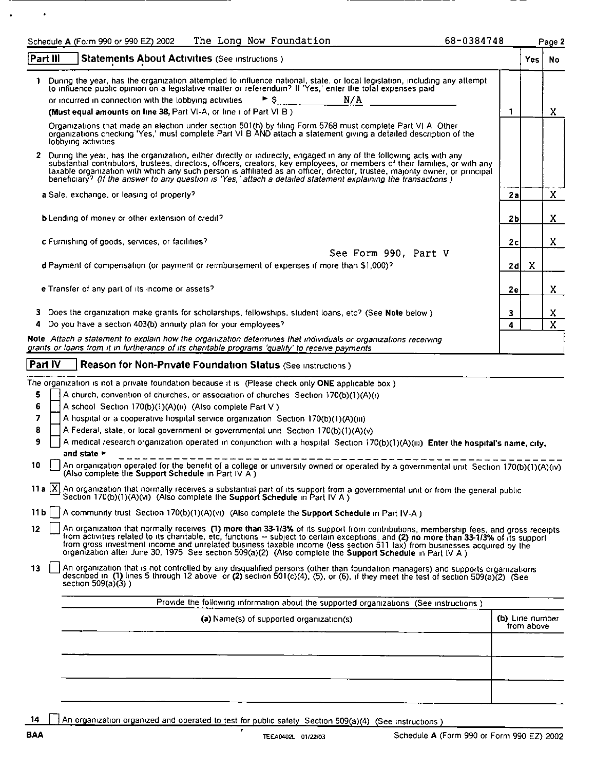|                                             | The Long Now Foundation<br>Schedule A (Form 990 or 990 EZ) 2002                                                                                                                                                                                                                                                                                                                                                                                                                                                                                                                                                                                                                                                                                                                                                                                                                                                                                                                                                                                                                                                                                                                                                                                                                                                                                                                                                                                                                                                                                                                                                                                                                                                                                                                                                                                                                                                                                              | 68-0384748 |                               | Page 2 |
|---------------------------------------------|--------------------------------------------------------------------------------------------------------------------------------------------------------------------------------------------------------------------------------------------------------------------------------------------------------------------------------------------------------------------------------------------------------------------------------------------------------------------------------------------------------------------------------------------------------------------------------------------------------------------------------------------------------------------------------------------------------------------------------------------------------------------------------------------------------------------------------------------------------------------------------------------------------------------------------------------------------------------------------------------------------------------------------------------------------------------------------------------------------------------------------------------------------------------------------------------------------------------------------------------------------------------------------------------------------------------------------------------------------------------------------------------------------------------------------------------------------------------------------------------------------------------------------------------------------------------------------------------------------------------------------------------------------------------------------------------------------------------------------------------------------------------------------------------------------------------------------------------------------------------------------------------------------------------------------------------------------------|------------|-------------------------------|--------|
| Part III                                    | Statements About Activities (See instructions)                                                                                                                                                                                                                                                                                                                                                                                                                                                                                                                                                                                                                                                                                                                                                                                                                                                                                                                                                                                                                                                                                                                                                                                                                                                                                                                                                                                                                                                                                                                                                                                                                                                                                                                                                                                                                                                                                                               |            | Yes.                          | No     |
|                                             | 1 During the year, has the organization attempted to influence national, state, or local legislation, including any attempt<br>to influence public opinion on a legislative matter or referendum? If 'Yes,' enter the total expenses paid<br>N/A<br>or incurred in connection with the lobbying activities.<br>► s<br>(Must equal amounts on line 38, Part VI-A, or line i of Part VI B)                                                                                                                                                                                                                                                                                                                                                                                                                                                                                                                                                                                                                                                                                                                                                                                                                                                                                                                                                                                                                                                                                                                                                                                                                                                                                                                                                                                                                                                                                                                                                                     | 1          |                               | x      |
|                                             | Organizations that made an election under section 501(h) by filing Form 5768 must complete Part VI A Other<br>organizations checking 'Yes,' must complete Part VI B AND attach a statement giving a detailed description of the<br>lobbying activities                                                                                                                                                                                                                                                                                                                                                                                                                                                                                                                                                                                                                                                                                                                                                                                                                                                                                                                                                                                                                                                                                                                                                                                                                                                                                                                                                                                                                                                                                                                                                                                                                                                                                                       |            |                               |        |
|                                             | 2 During the year, has the organization, either directly or indirectly, engaged in any of the following acts with any<br>substantial contributors, trustees, directors, officers, creators, key employees, or members of their families, or with any<br>taxable organization with which any such person is affiliated as an officer, director, trustee, majority owner, or principal<br>beneficiary? (If the answer to any question is 'Yes,' attach a detailed statement explaining the transactions)                                                                                                                                                                                                                                                                                                                                                                                                                                                                                                                                                                                                                                                                                                                                                                                                                                                                                                                                                                                                                                                                                                                                                                                                                                                                                                                                                                                                                                                       |            |                               |        |
|                                             | a Sale, exchange, or leasing of property?                                                                                                                                                                                                                                                                                                                                                                                                                                                                                                                                                                                                                                                                                                                                                                                                                                                                                                                                                                                                                                                                                                                                                                                                                                                                                                                                                                                                                                                                                                                                                                                                                                                                                                                                                                                                                                                                                                                    | 2a         |                               | X      |
|                                             | <b>b</b> Lending of money or other extension of credit?                                                                                                                                                                                                                                                                                                                                                                                                                                                                                                                                                                                                                                                                                                                                                                                                                                                                                                                                                                                                                                                                                                                                                                                                                                                                                                                                                                                                                                                                                                                                                                                                                                                                                                                                                                                                                                                                                                      | 2Ь         |                               | x.     |
|                                             | c Furnishing of goods, services, or facilities?<br>See Form 990, Part V                                                                                                                                                                                                                                                                                                                                                                                                                                                                                                                                                                                                                                                                                                                                                                                                                                                                                                                                                                                                                                                                                                                                                                                                                                                                                                                                                                                                                                                                                                                                                                                                                                                                                                                                                                                                                                                                                      | 2c         |                               | X.     |
|                                             | d Payment of compensation (or payment or reimbursement of expenses if more than \$1,000)?                                                                                                                                                                                                                                                                                                                                                                                                                                                                                                                                                                                                                                                                                                                                                                                                                                                                                                                                                                                                                                                                                                                                                                                                                                                                                                                                                                                                                                                                                                                                                                                                                                                                                                                                                                                                                                                                    | 2d         | X                             |        |
|                                             | e Transfer of any part of its income or assets?                                                                                                                                                                                                                                                                                                                                                                                                                                                                                                                                                                                                                                                                                                                                                                                                                                                                                                                                                                                                                                                                                                                                                                                                                                                                                                                                                                                                                                                                                                                                                                                                                                                                                                                                                                                                                                                                                                              | 2e         |                               | X.     |
| з.                                          | Does the organization make grants for scholarships, fellowships, student loans, etc? (See Note below)<br>Do you have a section 403(b) annuity plan for your employees?                                                                                                                                                                                                                                                                                                                                                                                                                                                                                                                                                                                                                                                                                                                                                                                                                                                                                                                                                                                                                                                                                                                                                                                                                                                                                                                                                                                                                                                                                                                                                                                                                                                                                                                                                                                       | 3<br>4     |                               | x<br>X |
|                                             | Note Attach a statement to explain how the organization determines that individuals or organizations receiving<br>grants or loans from it in furtherance of its charitable programs 'qualify' to receive payments                                                                                                                                                                                                                                                                                                                                                                                                                                                                                                                                                                                                                                                                                                                                                                                                                                                                                                                                                                                                                                                                                                                                                                                                                                                                                                                                                                                                                                                                                                                                                                                                                                                                                                                                            |            |                               |        |
| Part IV                                     | <b>Reason for Non-Private Foundation Status (See instructions)</b>                                                                                                                                                                                                                                                                                                                                                                                                                                                                                                                                                                                                                                                                                                                                                                                                                                                                                                                                                                                                                                                                                                                                                                                                                                                                                                                                                                                                                                                                                                                                                                                                                                                                                                                                                                                                                                                                                           |            |                               |        |
| 5<br>6<br>7<br>8<br>9<br>11 b l<br>12<br>13 | The organization is not a private foundation because it is (Please check only ONE applicable box)<br>A church, convention of churches, or association of churches Section 170(b)(1)(A)(i)<br>A school Section 170(b)(1)(A)(ii) (Also complete Part V)<br>A hospital or a cooperative hospital service organization Section 170(b)(1)(A)(iii)<br>A Federal, state, or local government or governmental unit Section 170(b)(1)(A)(v)<br>A medical research organization operated in conjunction with a hospital Section 170(b)(1)(A)(iii) Enter the hospital's name, city,<br>and state $\blacktriangleright$<br>An organization operated for the benefit of a college or university owned or operated by a governmental unit Section 170(b)(1)(A)(iv)<br>(Also complete the Support Schedule in Part IV A)<br>11 a $ X $ An organization that normally receives a substantial part of its support from a governmental unit or from the general public<br>Section 170(b)(1)(A)(vi) (Also complete the Support Schedule in Part IV A)<br>A community trust Section 170(b)(1)(A)(vi) (Also complete the Support Schedule in Part IV-A)<br>An organization that normally receives (1) more than 33-1/3% of its support from contributions, membership fees, and gross receipts<br>from activities related to its charitable, etc. functions - subject to certain exceptions, and (2) no more than 33-1/3% of its support<br>from gross investment income and unrelated business taxable income (less section 511 tax) from businesses acquired by the<br>organization after June 30, 1975 See section 509(a)(2) (Also complete the Support Schedule in Part IV A )<br>An organization that is not controlled by any disqualified persons (other than foundation managers) and supports organizations<br>described in (1) lines 5 through 12 above or (2) section 501(c)(4), (5), or (6), if they meet the test of section 509(a)(2) (See<br>section $509(a)(3)$ ) |            |                               |        |
|                                             | Provide the following information about the supported organizations (See instructions)                                                                                                                                                                                                                                                                                                                                                                                                                                                                                                                                                                                                                                                                                                                                                                                                                                                                                                                                                                                                                                                                                                                                                                                                                                                                                                                                                                                                                                                                                                                                                                                                                                                                                                                                                                                                                                                                       |            |                               |        |
|                                             | (a) Name(s) of supported organization(s)                                                                                                                                                                                                                                                                                                                                                                                                                                                                                                                                                                                                                                                                                                                                                                                                                                                                                                                                                                                                                                                                                                                                                                                                                                                                                                                                                                                                                                                                                                                                                                                                                                                                                                                                                                                                                                                                                                                     |            | (b) Line number<br>from above |        |

14 An organization organized and operated to test for public safety Section 509(a)(4) (See instructions )

 $\bullet$ 

.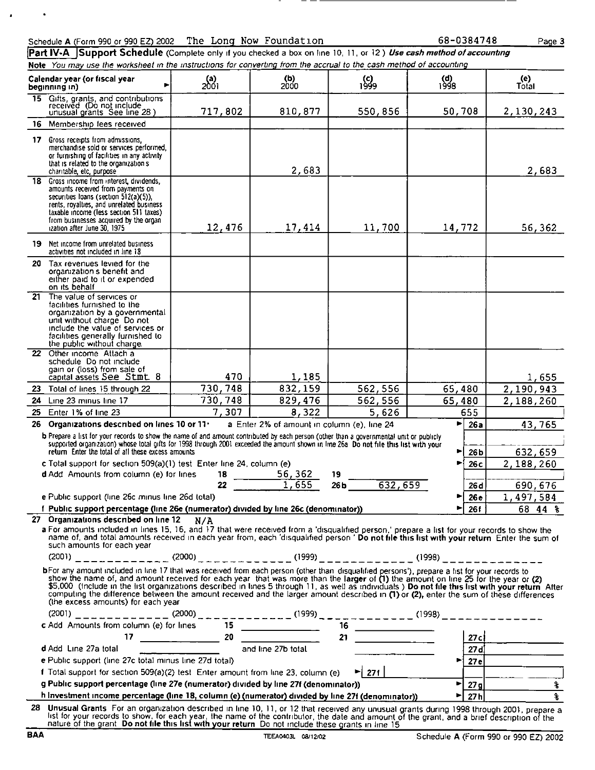×

Part IV-A Support Schedule (Complete only if you checked a box on line 10, 11, or 12) Use cash method of accounting Note You may use the worksheet in the instructions for converting from the accrual to the cash method of accounting

|     | Calendar year (or fiscal year<br>beginning in)                                                                                                                                                                                                                                                                                                                                                                                                                                                                                                                                                                           | (a)<br>2001 | (b)<br>2000                                 | (c)<br>1999               | (d)<br>1998           | (e)<br>Total                               |  |  |  |
|-----|--------------------------------------------------------------------------------------------------------------------------------------------------------------------------------------------------------------------------------------------------------------------------------------------------------------------------------------------------------------------------------------------------------------------------------------------------------------------------------------------------------------------------------------------------------------------------------------------------------------------------|-------------|---------------------------------------------|---------------------------|-----------------------|--------------------------------------------|--|--|--|
|     | 15 Gifts, grants, and contributions<br>received (Do not include<br>unusual grants See line 28)                                                                                                                                                                                                                                                                                                                                                                                                                                                                                                                           | 717,802     | 810,877                                     | 550,856                   | 50,708                | 2,130,243                                  |  |  |  |
|     | 16 Membership fees received                                                                                                                                                                                                                                                                                                                                                                                                                                                                                                                                                                                              |             |                                             |                           |                       |                                            |  |  |  |
|     | 17 Gross receipts from admissions.<br>merchandise sold or services performed,<br>or furnishing of facilities in any activity<br>that is related to the organization s<br>charitable, etc. purpose                                                                                                                                                                                                                                                                                                                                                                                                                        |             | 2,683                                       |                           |                       | 2,683                                      |  |  |  |
|     | 18 Gross income from interest, dividends,<br>amounts received from payments on<br>securities Ioans (section 512(a)(5)).<br>rents, royalties, and unrelated business<br>taxable income (less section 511 taxes)<br>from businesses acquired by the organ<br>ization after June 30, 1975                                                                                                                                                                                                                                                                                                                                   | 12,476      | 17,414                                      | 11,700                    | 14,772                | 56,362                                     |  |  |  |
|     | 19 Net income from unrelated business<br>activities not included in line 18                                                                                                                                                                                                                                                                                                                                                                                                                                                                                                                                              |             |                                             |                           |                       |                                            |  |  |  |
| 20. | Tax revenues levied for the<br>organization s benefit and<br>either paid to it or expended<br>on its behalf                                                                                                                                                                                                                                                                                                                                                                                                                                                                                                              |             |                                             |                           |                       |                                            |  |  |  |
| 21  | The value of services or<br>facilities furnished to the<br>organization by a governmental<br>unit without charge Do not<br>include the value of services or<br>facilities generally furnished to<br>the public without charge.                                                                                                                                                                                                                                                                                                                                                                                           |             |                                             |                           |                       |                                            |  |  |  |
|     | 22 Other income Attach a<br>schedule Do not include<br>gain or (loss) from sale of<br>capital assets See Stmt 8                                                                                                                                                                                                                                                                                                                                                                                                                                                                                                          | 470         | 1,185                                       |                           |                       | 1,655                                      |  |  |  |
|     | 23 Total of lines 15 through 22                                                                                                                                                                                                                                                                                                                                                                                                                                                                                                                                                                                          | 730,748     | 832,159                                     | 562,556                   | 65,480                | 2,190,943                                  |  |  |  |
|     | 24 Line 23 minus line 17                                                                                                                                                                                                                                                                                                                                                                                                                                                                                                                                                                                                 | 730,748     | 829,476                                     | 562,556                   | 65,480                | 2,188,260                                  |  |  |  |
|     | 25 Enter 1% of line 23                                                                                                                                                                                                                                                                                                                                                                                                                                                                                                                                                                                                   | 7,307       | 8,322                                       | 5,626                     | 655                   |                                            |  |  |  |
|     | 26 Organizations described on lines 10 or 11.                                                                                                                                                                                                                                                                                                                                                                                                                                                                                                                                                                            |             | a Enter 2% of amount in column (e), line 24 |                           | Þ.                    | 26a<br>43,765                              |  |  |  |
|     | b Prepare a list for your records to show the name of and amount contributed by each person (other than a governmental unit or publicly<br>supported organization) whose total gifts for 1998 through 2001 exceeded the amount shown in line 26a. Do not file this list with your<br>return Enter the total of all these excess amounts                                                                                                                                                                                                                                                                                  |             |                                             |                           |                       | 632,659<br>26 <sub>b</sub>                 |  |  |  |
|     | c Total support for section 509(a)(1) test. Enter line 24, column (e)                                                                                                                                                                                                                                                                                                                                                                                                                                                                                                                                                    |             |                                             |                           |                       | 2,188,260<br>26 с                          |  |  |  |
|     | d Add Amounts from column (e) for lines                                                                                                                                                                                                                                                                                                                                                                                                                                                                                                                                                                                  | 18<br>22    | $\frac{56,362}{1,655}$                      | 19<br>632,659<br>26 b     |                       |                                            |  |  |  |
|     | e Public support (line 26c minus line 26d total)                                                                                                                                                                                                                                                                                                                                                                                                                                                                                                                                                                         |             |                                             |                           | ▶                     | 690,676<br>26 d<br>1,497,584<br><b>26e</b> |  |  |  |
|     | f Public support percentage (line 26e (numerator) divided by line 26c (denominator))                                                                                                                                                                                                                                                                                                                                                                                                                                                                                                                                     |             |                                             |                           | ь.                    | <b>26f</b><br>68 44 %                      |  |  |  |
|     | 27 Organizations described on line $12$ N/A<br>a For amounts included in lines 15, 16, and 17 that were received from a 'disqualified person,' prepare a list for your records to show the<br>name of, and total amounts received in each year from, each 'disqualified person' Do not file this list with your return. Enter the sum of<br>such amounts for each year                                                                                                                                                                                                                                                   |             |                                             |                           |                       |                                            |  |  |  |
|     | bFor any amount included in line 17 that was received from each person (other than disqualified persons'), prepare a list for your records to<br>show the name of, and amount received for each year that was more than the larger of (1) the amount on line 25 for the year or (2)<br>\$5,000 (include in the list organizations described in lines 5 through 11, as well as individuals ) Do not file this list with your return After<br>computing the difference between the amount received and the larger amount described in (1) or (2), enter the sum of these differences<br>(the excess amounts) for each year |             |                                             |                           |                       |                                            |  |  |  |
|     | (2001) ____________(2000)____________(1999)__________(1998)________(1998)________                                                                                                                                                                                                                                                                                                                                                                                                                                                                                                                                        |             |                                             |                           |                       |                                            |  |  |  |
|     |                                                                                                                                                                                                                                                                                                                                                                                                                                                                                                                                                                                                                          |             |                                             |                           |                       |                                            |  |  |  |
|     | d Add Line 27a total                                                                                                                                                                                                                                                                                                                                                                                                                                                                                                                                                                                                     |             | and line 27b total                          |                           |                       | 27c<br>27d                                 |  |  |  |
|     | e Public support (line 27c total minus line 27d total)                                                                                                                                                                                                                                                                                                                                                                                                                                                                                                                                                                   |             |                                             |                           | $\blacksquare$        | 27e                                        |  |  |  |
|     | f Total support for section 509(a)(2) test. Enter amount from line 23, column (e)                                                                                                                                                                                                                                                                                                                                                                                                                                                                                                                                        |             |                                             | $\blacktriangleright$ 271 |                       |                                            |  |  |  |
|     | g Public support percentage (line 27e (numerator) divided by line 27f (denominator))                                                                                                                                                                                                                                                                                                                                                                                                                                                                                                                                     |             |                                             |                           | ы                     | $\overline{27g}$<br>$\ast$                 |  |  |  |
|     | h Investment income percentage (line 18, column (e) (numerator) divided by line 27f (denominator))                                                                                                                                                                                                                                                                                                                                                                                                                                                                                                                       |             |                                             |                           | $\blacktriangleright$ | 27h<br>$\overline{\mathbf{r}}$             |  |  |  |
|     | 28 Unusual Grants For an organization described in line 10, 11, or 12 that received any unusual grants during 1998 through 2001, prepare a<br>list for your records to show, for each year, the name of the contributor, the date and amount of the grant, and a brief description of the<br>nature of the grant. Do not file this list with your return. Do not include these grants in line 15                                                                                                                                                                                                                         |             |                                             |                           |                       |                                            |  |  |  |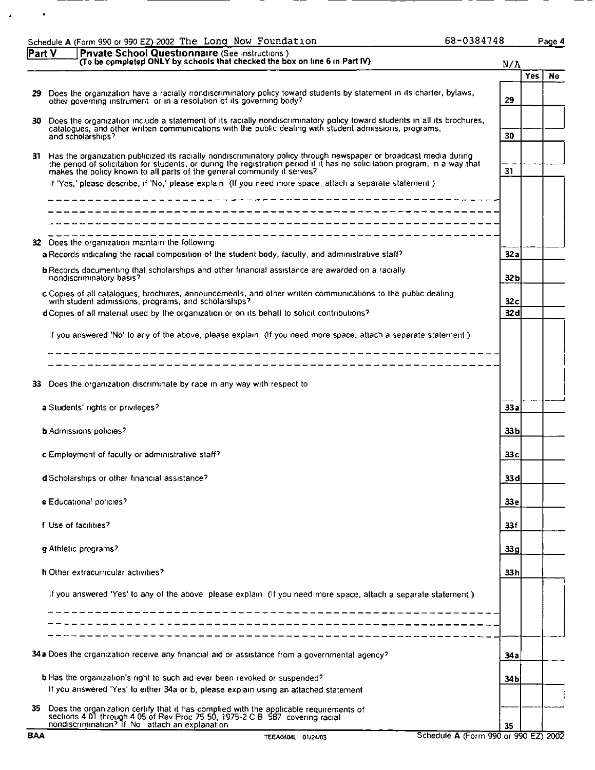|       | 68-0384748<br>Schedule A (Form 990 or 990 EZ) 2002 The Long Now Foundation                                                                                                                                                                                                                                                                                                                                                                 |                 |            | Page 4 |
|-------|--------------------------------------------------------------------------------------------------------------------------------------------------------------------------------------------------------------------------------------------------------------------------------------------------------------------------------------------------------------------------------------------------------------------------------------------|-----------------|------------|--------|
| PartV | Private School Questionnaire (See instructions)<br>(To be completed ONLY by schools that checked the box on line 6 in Part IV)                                                                                                                                                                                                                                                                                                             | N/A             |            |        |
|       |                                                                                                                                                                                                                                                                                                                                                                                                                                            |                 | <b>Yes</b> | No.    |
|       | 29 Does the organization have a racially nondiscriminatory policy toward students by statement in its charter, bylaws,<br>other governing instrument or in a resolution of its governing body?                                                                                                                                                                                                                                             | 29              |            |        |
| 30.   | Does the organization include a statement of its racially nondiscriminatory policy toward students in all its brochures,<br>catalogues, and other written communications with the public dealing with student admissions, programs,<br>and scholarships?                                                                                                                                                                                   | 30              |            |        |
|       | 31 Has the organization publicized its racially nondiscriminatory policy through newspaper or broadcast media during<br>the period of solicitation for students, or during the registration period if it has no solicitation program, in a way that<br>makes the policy known to all parts of the general community it serves?<br>If 'Yes,' please describe, if 'No,' please explain (If you need more space, attach a separate statement) | 31              |            |        |
|       | __________                                                                                                                                                                                                                                                                                                                                                                                                                                 |                 |            |        |
| 32.   | Does the organization maintain the following<br>a Records indicating the racial composition of the student body, faculty, and administrative staff?                                                                                                                                                                                                                                                                                        | 32 a            |            |        |
|       | <b>b</b> Records documenting that scholarships and other financial assistance are awarded on a racially<br>nondiscriminatory basis?                                                                                                                                                                                                                                                                                                        | 32b             |            |        |
|       | c Copies of all catalogues, brochures, announcements, and other written communications to the public dealing<br>with student admissions, programs, and scholarships?<br>d Copies of all material used by the organization or on its behalf to solicit contributions?                                                                                                                                                                       | 32c<br>32 dl    |            |        |
|       |                                                                                                                                                                                                                                                                                                                                                                                                                                            |                 |            |        |
|       | If you answered 'No' to any of the above, please explain (If you need more space, attach a separate statement)                                                                                                                                                                                                                                                                                                                             |                 |            |        |
|       |                                                                                                                                                                                                                                                                                                                                                                                                                                            |                 |            |        |
| 33.   | Does the organization discriminate by race in any way with respect to                                                                                                                                                                                                                                                                                                                                                                      |                 |            |        |
|       | a Students' rights or privileges?                                                                                                                                                                                                                                                                                                                                                                                                          | 33 a            |            |        |
|       | <b>b</b> Admissions policies?                                                                                                                                                                                                                                                                                                                                                                                                              | 33 <sub>b</sub> |            |        |
|       | c Employment of faculty or administrative staff?                                                                                                                                                                                                                                                                                                                                                                                           | 33 c            |            |        |
|       | d Scholarships or other financial assistance?                                                                                                                                                                                                                                                                                                                                                                                              | 33 dl           |            |        |
|       | e Educational policies?                                                                                                                                                                                                                                                                                                                                                                                                                    | 33 e            |            |        |
|       | I Use of facilities?                                                                                                                                                                                                                                                                                                                                                                                                                       | 33 f            |            |        |
|       | g Athletic programs?                                                                                                                                                                                                                                                                                                                                                                                                                       | 33 g            |            |        |
|       | h Other extracurricular activities?                                                                                                                                                                                                                                                                                                                                                                                                        | 33h             |            |        |
|       | If you answered 'Yes' to any of the above please explain (If you need more space, attach a separate statement)<br>------------                                                                                                                                                                                                                                                                                                             |                 |            |        |
|       |                                                                                                                                                                                                                                                                                                                                                                                                                                            |                 |            |        |
|       | 34a Does the organization receive any financial aid or assistance from a governmental agency?                                                                                                                                                                                                                                                                                                                                              | 34 a            |            |        |
|       | <b>b</b> Has the organization's right to such aid ever been revoked or suspended?                                                                                                                                                                                                                                                                                                                                                          |                 |            |        |
|       | If you answered 'Yes' to either 34a or b, please explain using an attached statement                                                                                                                                                                                                                                                                                                                                                       | 34 b            |            |        |
| 35.   | Does the organization certify that it has complied with the applicable requirements of sections 4.01 through 4.05 of Rev Proc 75.50, 1975-2 C B 587 covering racial nondiscrimination? If No 'attach an explanation                                                                                                                                                                                                                        | 35              |            |        |

 $\bullet$ 

 $\blacksquare$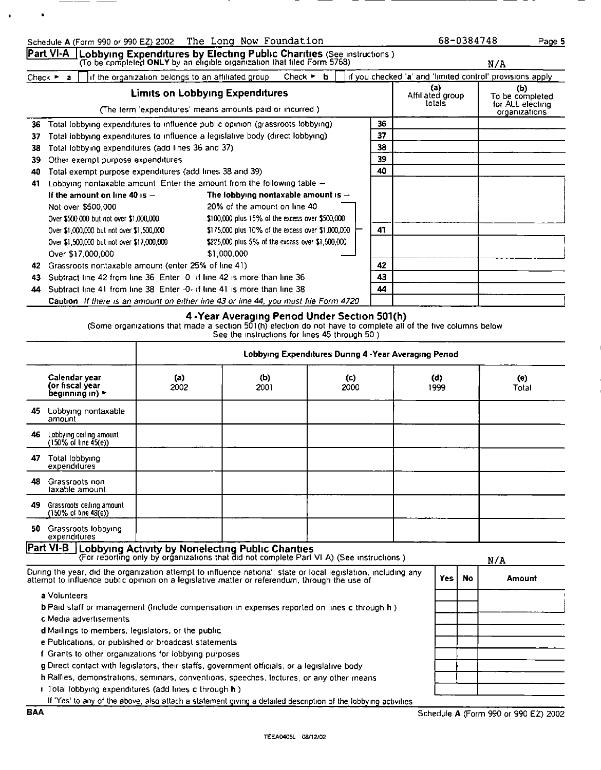|                             | <b>Part VI-A</b>   Lobbying Expenditures by Electing Public Charities (See instructions)<br>(To be completed ONLY by an eligible organization that filed Form 5768) |                                                   |                                 |  |  |    |    |                                                           | N/A                                                         |
|-----------------------------|---------------------------------------------------------------------------------------------------------------------------------------------------------------------|---------------------------------------------------|---------------------------------|--|--|----|----|-----------------------------------------------------------|-------------------------------------------------------------|
| Check $\blacktriangleright$ | if the organization belongs to an affiliated group<br>$\mathbf{a}$                                                                                                  |                                                   | Check $\triangleright$ <b>b</b> |  |  |    |    | if you checked 'a' and 'limited control' provisions apply |                                                             |
|                             | (The term 'expenditures' means amounts paid or incurred.)                                                                                                           | <b>Limits on Lobbying Expenditures</b>            |                                 |  |  |    |    | (a)<br>Affiliated group<br>totals                         | (b)<br>To be completed<br>for ALL electing<br>organizations |
| 36                          | Total lobbying expenditures to influence public opinion (grassroots lobbying)                                                                                       |                                                   |                                 |  |  | 36 |    |                                                           |                                                             |
| 37                          | Total lobbying expenditures to influence a legislative body (direct lobbying).                                                                                      |                                                   |                                 |  |  | 37 |    |                                                           |                                                             |
| 38                          | Total lobbying expenditures (add lines 36 and 37).                                                                                                                  |                                                   |                                 |  |  | 38 |    |                                                           |                                                             |
| 39                          | Other exempt purpose expenditures                                                                                                                                   |                                                   |                                 |  |  | 39 |    |                                                           |                                                             |
| 40                          | Total exempt purpose expenditures (add lines 38 and 39)                                                                                                             |                                                   |                                 |  |  | 40 |    |                                                           |                                                             |
| 41                          | Lobbying nontaxable amount. Enter the amount from the following table -                                                                                             |                                                   |                                 |  |  |    |    |                                                           |                                                             |
|                             | If the amount on line 40 is $-$                                                                                                                                     | The lobbying nontaxable amount is $-$             |                                 |  |  |    |    |                                                           |                                                             |
|                             | Not over \$500,000                                                                                                                                                  | 20% of the amount on line 40                      |                                 |  |  |    |    |                                                           |                                                             |
|                             | Over \$500 000 but not over \$1,000,000                                                                                                                             | \$100,000 plus 15% of the excess over \$500,000   |                                 |  |  |    |    |                                                           |                                                             |
|                             | Over \$1,000,000 but not over \$1,500,000                                                                                                                           | \$175,000 plus 10% of the excess over \$1,000,000 |                                 |  |  | 41 |    |                                                           |                                                             |
|                             | Over \$1,500,000 but not over \$17,000,000                                                                                                                          | \$225,000 plus 5% of the excess over \$1,500,000  |                                 |  |  |    |    |                                                           |                                                             |
|                             | Over \$17,000,000                                                                                                                                                   | \$1,000.000                                       |                                 |  |  |    |    |                                                           |                                                             |
| 42                          | Grassroots nontaxable amount (enter 25% of line 41)                                                                                                                 |                                                   |                                 |  |  |    | 42 |                                                           |                                                             |
| 43                          | Subtract line 42 from line 36. Enter 0. if line 42 is more than line 36.                                                                                            |                                                   |                                 |  |  | 43 |    |                                                           |                                                             |
| 44                          | Subtract line 41 from line 38 Enter -0- if line 41 is more than line 38                                                                                             |                                                   |                                 |  |  | 44 |    |                                                           |                                                             |
|                             | Caution If there is an amount on either line 43 or line 44, you must file Form 4720                                                                                 |                                                   |                                 |  |  |    |    |                                                           |                                                             |

### 4 -Year Averaging Period Under Section 501(h)

(Some organizations that made a section 501(h) electron do not have to complete all of the five columns below

See the Instructions for lines 45 through 50 )

|    |                                                                                                                                                                                                                                                                                                                                                                                                                                                                                                                                                                         |                                                                                          | Lobbying Expenditures Dunng 4 - Year Averaging Penod |             |  |             |           |              |
|----|-------------------------------------------------------------------------------------------------------------------------------------------------------------------------------------------------------------------------------------------------------------------------------------------------------------------------------------------------------------------------------------------------------------------------------------------------------------------------------------------------------------------------------------------------------------------------|------------------------------------------------------------------------------------------|------------------------------------------------------|-------------|--|-------------|-----------|--------------|
|    | Calendar year<br>(or fiscal year<br>beginning in) $\blacktriangleright$                                                                                                                                                                                                                                                                                                                                                                                                                                                                                                 | (a)<br>2002                                                                              | (b)<br>2001                                          | (c)<br>2000 |  | (d)<br>1999 |           | (e)<br>Total |
|    | 45 Lobbying nontaxable<br>amount                                                                                                                                                                                                                                                                                                                                                                                                                                                                                                                                        |                                                                                          |                                                      |             |  |             |           |              |
| 46 | Lobbying ceiling amount<br>$(150\% \text{ of line } 45(e))$                                                                                                                                                                                                                                                                                                                                                                                                                                                                                                             |                                                                                          |                                                      |             |  |             |           |              |
| 47 | Total lobbying<br>expenditures                                                                                                                                                                                                                                                                                                                                                                                                                                                                                                                                          |                                                                                          |                                                      |             |  |             |           |              |
| 48 | Grassroots non<br>taxable amount                                                                                                                                                                                                                                                                                                                                                                                                                                                                                                                                        |                                                                                          |                                                      |             |  |             |           |              |
| 49 | Grassroots ceiling amount<br>$(150\% \text{ of line } 48(e))$                                                                                                                                                                                                                                                                                                                                                                                                                                                                                                           |                                                                                          |                                                      |             |  |             |           |              |
| 50 | Grassroots lobbying<br>expenditures                                                                                                                                                                                                                                                                                                                                                                                                                                                                                                                                     |                                                                                          |                                                      |             |  |             |           |              |
|    | Part VI-B Lobbying Activity by Nonelecting Public Charities                                                                                                                                                                                                                                                                                                                                                                                                                                                                                                             | (For reporting only by organizations that did not complete Part VI A) (See instructions) |                                                      |             |  |             |           | N/A          |
|    | During the year, did the organization attempt to influence national, state or local legislation, including any<br>attempt to influence public opinion on a legislative matter or referendum, through the use of                                                                                                                                                                                                                                                                                                                                                         |                                                                                          |                                                      |             |  | <b>Yes</b>  | <b>No</b> | Amount       |
|    | a Volunteers<br><b>b</b> Paid staff or management (Include compensation in expenses reported on lines c through h)<br>c Media advertisements<br>d Mailings to members, legislators, or the public<br>e Publications, or published or broadcast statements<br>f Grants to other organizations for lobbying purposes<br>g Direct contact with legislators, their staffs, government officials, or a legislative body<br>h Rallies, demonstrations, seminars, conventions, speeches, lectures, or any other means<br>i Total lobbying expenditures (add lines c through h) |                                                                                          |                                                      |             |  |             |           |              |

If 'Yes' to any of the above, also attach a statement giving a detailed description of the lobbying activities

 $\bullet$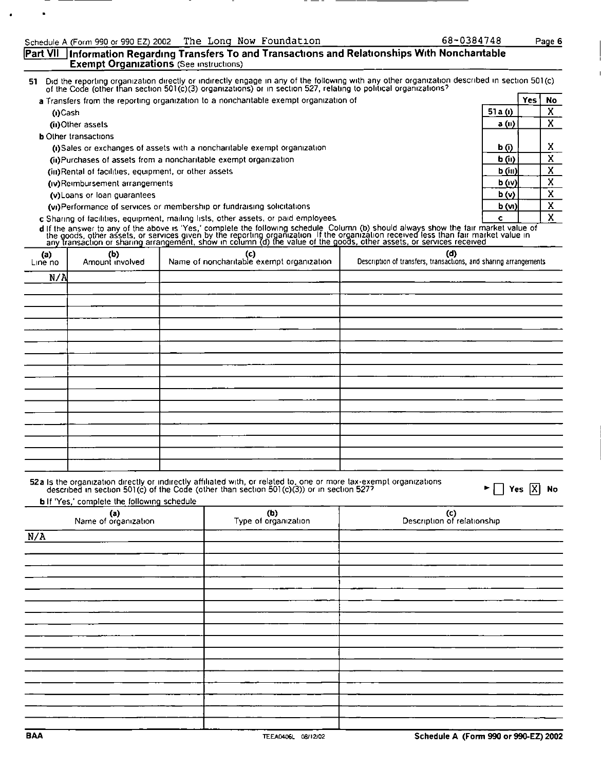#### [Part VII | Information Regarding Transfers To and Transactions and Relationships With Noncharitable **Exempt Organizations** (See instructions)

Did the reporting organization directly or indirectly engage in any of the following with any other organization described in section 501(c) of the Code (other than section 501(c)(3) organizations) or in section 527, relat 51

| a Transfers from the reporting organization to a noncharitable exempt organization of |        | Yes | No |
|---------------------------------------------------------------------------------------|--------|-----|----|
| (i)Cash                                                                               | 51a(t) |     |    |
| (iii)Other assets                                                                     | a(0)   |     |    |
| <b>b</b> Other transactions                                                           |        |     |    |
| (i)Sales or exchanges of assets with a noncharitable exempt organization              | b (i)  |     | x  |
| (ii) Purchases of assets from a noncharitable exempt organization                     | b(n)   |     |    |
| (iii)Rental of facilities, equipment, or other assets                                 | b(n)   |     | v  |
| (iv)Reimbursement arrangements                                                        | b(w)   |     | ^  |
| (v) Loans or loan guarantees                                                          | b(v)   |     | x  |
| (vi)Performance of services or membership or fundraising solicitations                | b(m)   |     | X  |
| c Sharing of facilities, equipment, mailing lists, other assets, or paid employees.   |        |     | v  |

d If the answer to any of the above is "Yes," complete the following schedule. Column (b) should always show the fair market value of<br>the goods, other assets, or services given by the reporting organization. If the organiz

| $(n)$<br>Line no | (b)<br>Amount involved | (c)<br>Name of noncharitable exempt organization | (d)<br>Description of transfers, transactions, and sharing arrangements |
|------------------|------------------------|--------------------------------------------------|-------------------------------------------------------------------------|
| N/A              |                        |                                                  |                                                                         |
|                  |                        |                                                  |                                                                         |
|                  |                        |                                                  |                                                                         |
|                  |                        |                                                  |                                                                         |
|                  |                        |                                                  |                                                                         |
|                  |                        |                                                  |                                                                         |
|                  |                        |                                                  |                                                                         |
|                  |                        |                                                  |                                                                         |
|                  |                        |                                                  |                                                                         |
|                  |                        |                                                  |                                                                         |
|                  |                        |                                                  |                                                                         |
|                  |                        |                                                  |                                                                         |
|                  |                        |                                                  |                                                                         |
|                  |                        |                                                  |                                                                         |
|                  |                        |                                                  |                                                                         |
|                  |                        |                                                  |                                                                         |

52a Is the organization directly or indirectly affiliated with, or related to, one or more tax-exempt organizations described in section 501(c) of the Code (other than section 501(c)(3)) or in section 527?

 $\blacktriangleright \Box$  Yes  $\overline{X}$  No

**b** If 'Yes,' complete the following schedule

| (a)<br>Name of organization | (b)<br>Type of organization | (c)<br>Description of relationship |
|-----------------------------|-----------------------------|------------------------------------|
| N/A                         |                             |                                    |
|                             |                             |                                    |
|                             |                             |                                    |
|                             |                             |                                    |
|                             |                             |                                    |
|                             |                             |                                    |
|                             |                             |                                    |
|                             |                             |                                    |
|                             |                             |                                    |
|                             |                             |                                    |
|                             |                             |                                    |
|                             |                             |                                    |
|                             |                             |                                    |

68-0384748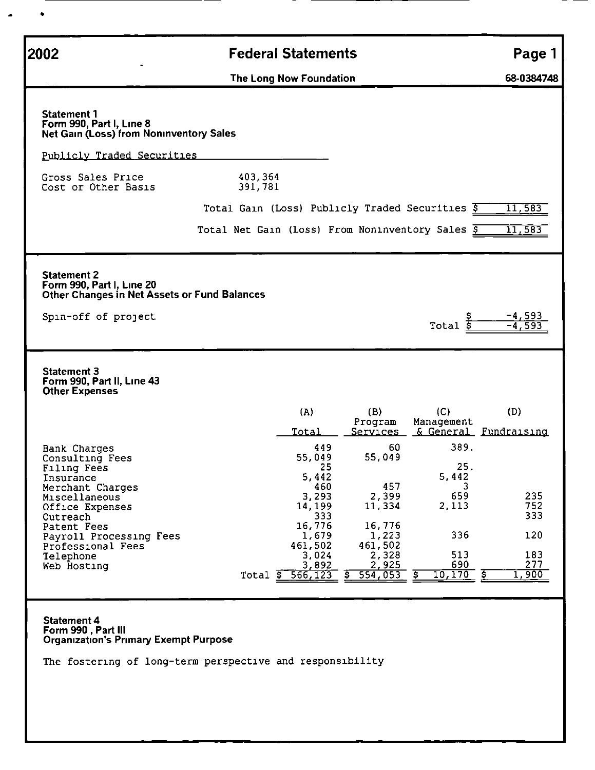| 2002                                                                                                                   | <b>Federal Statements</b>                                                                                      | Page 1              |
|------------------------------------------------------------------------------------------------------------------------|----------------------------------------------------------------------------------------------------------------|---------------------|
|                                                                                                                        | The Long Now Foundation                                                                                        | 68-0384748          |
| <b>Statement 1</b><br>Form 990, Part I, Line 8<br><b>Net Gain (Loss) from Noninventory Sales</b>                       |                                                                                                                |                     |
| Publicly Traded Securities                                                                                             |                                                                                                                |                     |
| Gross Sales Price<br>Cost or Other Basis                                                                               | 403,364<br>391,781                                                                                             |                     |
|                                                                                                                        | Total Gain (Loss) Publicly Traded Securities \$                                                                | 11,583              |
|                                                                                                                        | Total Net Gain (Loss) From Noninventory Sales \$                                                               | 11,583              |
| <b>Statement 2</b><br>Form 990, Part I, Line 20<br>Other Changes in Net Assets or Fund Balances<br>Spin-off of project | $Total$ $\overline{s}$                                                                                         | -4,593<br>$-4,59.$  |
| <b>Statement 3</b><br>Form 990, Part II, Line 43<br><b>Other Expenses</b>                                              |                                                                                                                |                     |
|                                                                                                                        | (A)<br>(B)<br>(C)<br>Program<br>Management<br>& General Fundraising<br>Total<br>Services                       | (D)                 |
| <b>Bank Charges</b><br>Consulting Fees<br>Filing Fees<br>Insurance<br>Merchant Charges                                 | 389.<br>449<br>60<br>55,049<br>55,049<br>25.<br>25<br>5,442<br>5,442<br>457<br>3<br>460<br>2,399<br>659        | 235                 |
| Miscellaneous<br>Office Expenses<br>Outreach                                                                           | 3,293<br>2,113<br>14,199<br>11,334<br>333                                                                      | 752<br>333          |
| Patent Fees<br>Payroll Processing Fees<br>Professional Fees                                                            | 16,776<br>16,776<br>336<br>1,679<br>1,223<br>461,502<br>461,502                                                | 120                 |
| Telephone<br>Web Hosting                                                                                               | 513<br>2,328<br>3,024<br>690<br>3,892<br>2,925<br>- इ<br>10,170<br>554,053<br>566, 123<br>s<br>\$.<br>Total \$ | 183<br>277<br>1,900 |
| <b>Statement 4</b><br>Form 990, Part III<br><b>Organization's Primary Exempt Purpose</b>                               |                                                                                                                |                     |

The fostering of long-term perspective and responsibility

 $\bullet$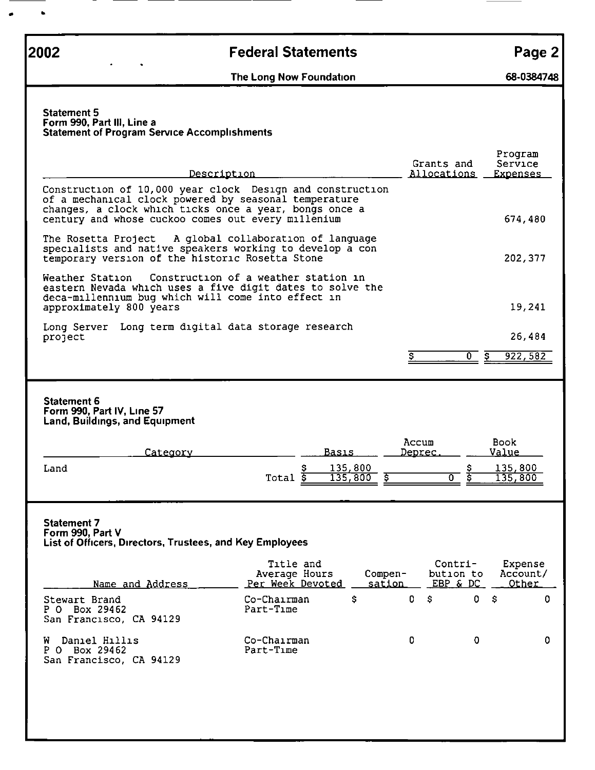$\bullet$ 

## **2002 Example 2** Federal Statements **Page 2 Page 2**

<u> Tanzania (</u>

The Long Now Foundation (SB-0384748)

#### Statement 5 Form 990, Part III, Line a Statement of Program Service Accomplishments

| Description                                                                                                                                                                                                                        |                                                       | Grants and<br><u>Allocations</u> |                                                              | Program<br>Service<br><b>Expenses</b> |  |  |  |
|------------------------------------------------------------------------------------------------------------------------------------------------------------------------------------------------------------------------------------|-------------------------------------------------------|----------------------------------|--------------------------------------------------------------|---------------------------------------|--|--|--|
| Construction of 10,000 year clock Design and construction<br>of a mechanical clock powered by seasonal temperature<br>changes, a clock which ticks once a year, bongs once a<br>century and whose cuckoo comes out every millenium |                                                       |                                  | 674,480                                                      |                                       |  |  |  |
| The Rosetta Project<br>specialists and native speakers working to develop a con<br>temporary version of the historic Rosetta Stone                                                                                                 | A global collaboration of language                    |                                  |                                                              | 202, 377                              |  |  |  |
| Weather Station<br>eastern Nevada which uses a five digit dates to solve the<br>deca-millennium bug which will come into effect in<br>approximately 800 years                                                                      | Construction of a weather station in                  |                                  |                                                              | 19,241                                |  |  |  |
| Long Server<br>project                                                                                                                                                                                                             | Long term digital data storage research               |                                  |                                                              | 26,484                                |  |  |  |
|                                                                                                                                                                                                                                    |                                                       | Ş                                | $\overline{0}$ s                                             | 922, 582                              |  |  |  |
| <b>Statement 6</b><br>Form 990, Part IV, Line 57<br><b>Land, Buildings, and Equipment</b><br><u> Category</u><br>Land                                                                                                              | Basis<br>135,800<br>135,800<br>$Total$ $\overline{s}$ | Accum<br><u>Deprec.</u><br>\$    | Book.<br><u>Value</u><br>s<br>ड<br>$\overline{\mathfrak{o}}$ | 135,800<br>135,800                    |  |  |  |
| <b>Statement 7</b><br>Form 990, Part V<br>List of Officers, Directors, Trustees, and Key Employees                                                                                                                                 |                                                       |                                  |                                                              |                                       |  |  |  |
| Name and Address                                                                                                                                                                                                                   | Title and<br>Average Hours<br>Per Week Devoted        | Compen-<br>sation                | Contri-<br>bution to<br>EBP & DC                             | Expense<br>Account/<br><u>Other</u>   |  |  |  |
| Stewart Brand<br>P O Box 29462<br>San Francisco, CA 94129                                                                                                                                                                          | Co-Chairman<br>s<br>Part-Time                         | $0$ \$                           | 0 \$                                                         | 0                                     |  |  |  |
| Daniel Hillis<br>W<br>P O Box 29462<br>San Francisco, CA 94129                                                                                                                                                                     | Co-Chairman<br>Part-Time                              | 0                                | 0                                                            | 0                                     |  |  |  |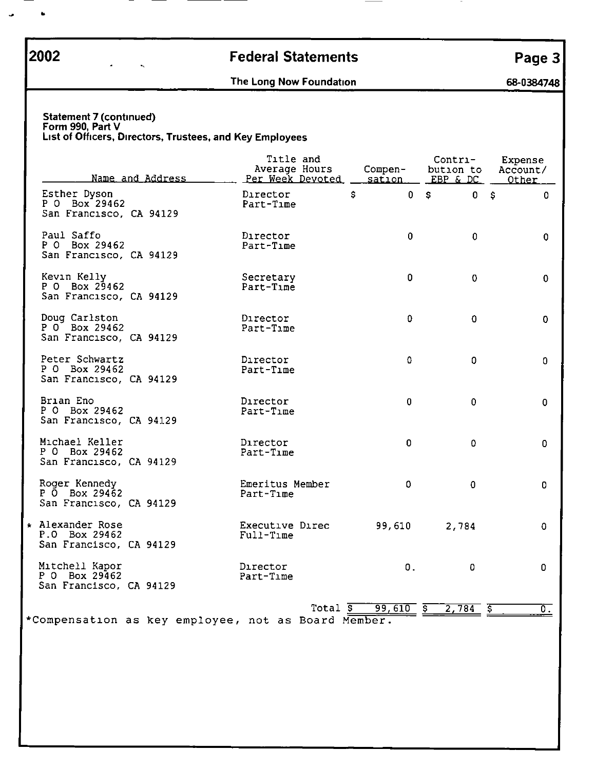$\overline{\phantom{a}}$ 

# **2002 Rederal Statements Page 3**

## The Long Now Foundation (SB-0384748)

#### Statement 7 (continued) Form 990, Part V Lust of Officers, Directors, Trustees, and Key Employees

| Name and Address                                             | Title and<br>Average Hours<br>Per Week Devoted | Compen-<br><u>sation.</u> | Contri-<br>bution to<br>EBP & DC | Expense<br>Account/<br>Other |
|--------------------------------------------------------------|------------------------------------------------|---------------------------|----------------------------------|------------------------------|
| Esther Dyson<br>P 0 Box 29462<br>San Francisco, CA 94129     | Director<br>Part-Time                          | \$<br>$\mathbf 0$         | $\mathsf{S}$<br>0                | - \$<br>0                    |
| Paul Saffo<br>P 0 Box 29462<br>San Francisco, CA 94129       | Director<br>Part-Time                          | 0                         | 0                                | 0                            |
| Kevin Kelly<br>P 0 Box 29462<br>San Francisco, CA 94129      | Secretary<br>Part-Time                         | 0                         | 0                                | 0                            |
| Doug Carlston<br>P 0 Box 29462<br>San Francisco, CA 94129    | Director<br>Part-Time                          | $\Omega$                  | 0                                | 0                            |
| Peter Schwartz<br>P 0 Box 29462<br>San Francisco, CA 94129   | Director<br>Part-Time                          | 0                         | 0                                | 0                            |
| Brian Eno<br>P O Box 29462<br>San Francisco, CA 94129        | Director<br>Part-Time                          | $\mathbf 0$               | 0                                | 0                            |
| Michael Keller<br>P 0 Box 29462<br>San Francisco, CA 94129   | Director<br>Part-Time                          | 0                         | $\mathbf 0$                      | 0                            |
| Roger Kennedy<br>P 0 Box 29462<br>San Francisco, CA 94129    | Emeritus Member<br>Part-Time                   | 0                         | $\mathbf{0}$                     | 0                            |
| ∗ Alexander Rose<br>P.O Box 29462<br>San Francisco, CA 94129 | Executive Direc<br>Full-Time                   | 99,610                    | 2,784                            | 0                            |
| Mitchell Kapor<br>P O Box 29462<br>San Francisco, CA 94129   | Director<br>Part-Time                          | 0.                        | $\mathbf 0$                      | 0                            |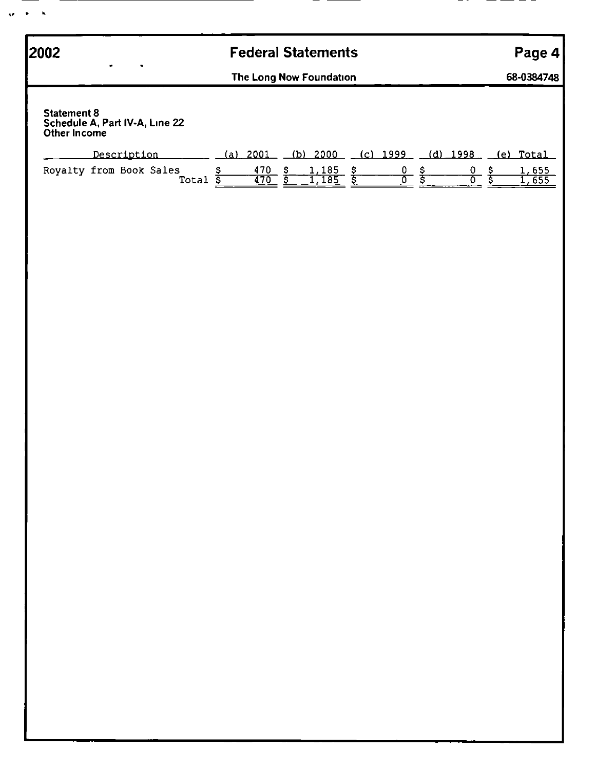| 2002                                                                 |             |                 |                      | <b>Federal Statements</b>                                    |  |                             |                             | Page 4         |
|----------------------------------------------------------------------|-------------|-----------------|----------------------|--------------------------------------------------------------|--|-----------------------------|-----------------------------|----------------|
|                                                                      |             |                 |                      | The Long Now Foundation                                      |  |                             |                             | 68-0384748     |
| <b>Statement 8</b><br>Schedule A, Part IV-A, Line 22<br>Other Income |             |                 |                      |                                                              |  |                             |                             |                |
| Royalty from Book Sales                                              | Description |                 | \$<br>$(a) 2001$ $-$ | (b) $2000$ (c) $1999$ (d) $1998$<br>$\frac{1,185}{1,185}$ \$ |  | $\frac{0}{0}$ $\frac{5}{5}$ | $\frac{0}{0}$ $\frac{5}{5}$ | (e) Total      |
|                                                                      |             | Total <u>\$</u> | $\frac{470}{470}$ \$ |                                                              |  |                             |                             | 1,655<br>1,655 |
|                                                                      |             |                 |                      |                                                              |  |                             |                             |                |
|                                                                      |             |                 |                      |                                                              |  |                             |                             |                |
|                                                                      |             |                 |                      |                                                              |  |                             |                             |                |
|                                                                      |             |                 |                      |                                                              |  |                             |                             |                |
|                                                                      |             |                 |                      |                                                              |  |                             |                             |                |
|                                                                      |             |                 |                      |                                                              |  |                             |                             |                |
|                                                                      |             |                 |                      |                                                              |  |                             |                             |                |
|                                                                      |             |                 |                      |                                                              |  |                             |                             |                |
|                                                                      |             |                 |                      |                                                              |  |                             |                             |                |
|                                                                      |             |                 |                      |                                                              |  |                             |                             |                |
|                                                                      |             |                 |                      |                                                              |  |                             |                             |                |
|                                                                      |             |                 |                      |                                                              |  |                             |                             |                |
|                                                                      |             |                 |                      |                                                              |  |                             |                             |                |
|                                                                      |             |                 |                      |                                                              |  |                             |                             |                |
|                                                                      |             |                 |                      |                                                              |  |                             |                             |                |
|                                                                      |             |                 |                      |                                                              |  |                             |                             |                |
|                                                                      |             |                 |                      |                                                              |  |                             |                             |                |
|                                                                      |             |                 |                      |                                                              |  |                             |                             |                |
|                                                                      |             |                 |                      |                                                              |  |                             |                             |                |
|                                                                      |             |                 |                      |                                                              |  |                             |                             |                |
|                                                                      |             |                 |                      |                                                              |  |                             |                             |                |
|                                                                      |             |                 |                      |                                                              |  |                             |                             |                |
|                                                                      |             |                 |                      |                                                              |  |                             |                             |                |
|                                                                      |             |                 |                      |                                                              |  |                             |                             |                |
|                                                                      |             |                 |                      |                                                              |  |                             |                             |                |

— —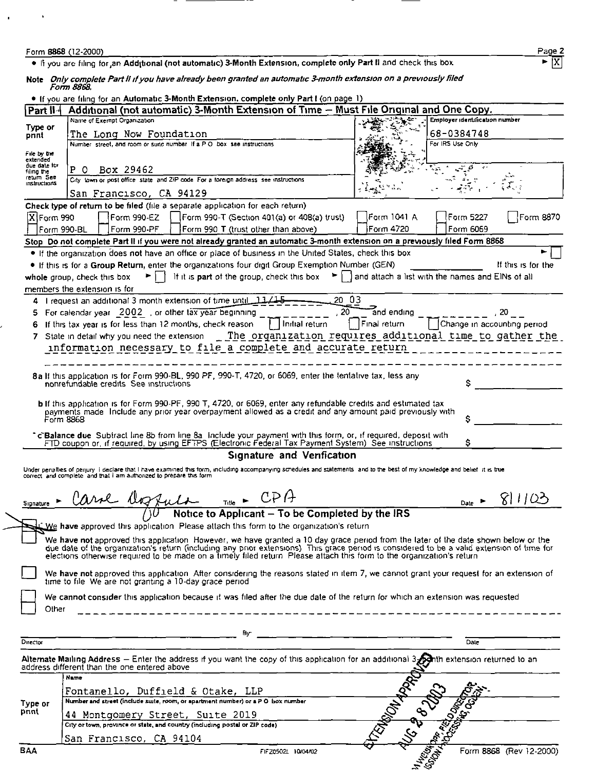| Form 8868 (12-2000) | ---- | Page. |
|---------------------|------|-------|
|                     |      |       |

 $\blacksquare$ 

 $\blacksquare$ 

● If you are filing for an Add<sub>i</sub>tional (not automatic) 3-Month Extension, complete only Part II and check this box Irrahimedia Pro

Note Only complete Part II if you have already been granted an automatic 3-month extension on a previously filed<br>Form 8868.

|                          | . If you are filing for an Automatic 3-Month Extension, complete only Part I (on page 1)                                                                                                                                                           |                                                                                                                                             |
|--------------------------|----------------------------------------------------------------------------------------------------------------------------------------------------------------------------------------------------------------------------------------------------|---------------------------------------------------------------------------------------------------------------------------------------------|
| Part II-                 | Additional (not automatic) 3-Month Extension of Time - Must File Original and One Copy.                                                                                                                                                            |                                                                                                                                             |
|                          | Name of Exempt Organization                                                                                                                                                                                                                        | Employer identification number                                                                                                              |
| Type or<br>pnnt          | The Long Now Foundation                                                                                                                                                                                                                            | 68-0384748                                                                                                                                  |
|                          | Number street, and room or suite number If a P O box see instructions                                                                                                                                                                              | For IRS Use Only                                                                                                                            |
| File by the              |                                                                                                                                                                                                                                                    |                                                                                                                                             |
| extended<br>due date for | P O<br>Box 29462                                                                                                                                                                                                                                   |                                                                                                                                             |
| filmg the<br>retum See   | City town or post office state and ZIP code For a foreign address see instructions                                                                                                                                                                 |                                                                                                                                             |
| <b>Instructions</b>      |                                                                                                                                                                                                                                                    |                                                                                                                                             |
|                          | San Francisco, CA 94129                                                                                                                                                                                                                            |                                                                                                                                             |
|                          | Check type of return to be filed (file a separate application for each return)                                                                                                                                                                     |                                                                                                                                             |
| X Form 990               | $[Form 990-EZ   [Form 990-T (Section 401(a) or 408(a) trust] ]$                                                                                                                                                                                    | Form 8870<br>Form 1041 A<br>Form 5227                                                                                                       |
|                          | Form 990-BL<br>$\lceil$ Form 990-PF $\lceil \cdot \rceil$   Form 990 T (trust other than above)                                                                                                                                                    | iForm 4720<br>Form 6069                                                                                                                     |
|                          | Stop Do not complete Part II if you were not already granted an automatic 3-month extension on a previously filed Form 8868                                                                                                                        |                                                                                                                                             |
|                          | . If the organization does not have an office or place of business in the United States, check this box                                                                                                                                            |                                                                                                                                             |
|                          | . If this is for a Group Return, enter the organizations four digit Group Exemption Number (GEN)                                                                                                                                                   | If this is for the                                                                                                                          |
|                          | whole group, check this box                                                                                                                                                                                                                        | $\blacktriangleright$   It it is part of the group, check this box $\blacktriangleright$   and attach a list with the names and EINs of all |
|                          | members the extension is for                                                                                                                                                                                                                       |                                                                                                                                             |
|                          | 4 I request an additional 3 month extension of time until 11/15                                                                                                                                                                                    | 20 03                                                                                                                                       |
| 5                        | For calendar year 2002, or other tax year beginning                                                                                                                                                                                                | 20<br>and ending                                                                                                                            |
|                          | If this tax year is for less than 12 months, check reason<br>$\vert \ \vert$ Initial return                                                                                                                                                        | F <sub>inal</sub> return<br>Change in accounting period                                                                                     |
| 6                        |                                                                                                                                                                                                                                                    |                                                                                                                                             |
|                          | 7 State in detail why you need the extension __ The organization requires additional time to gather the                                                                                                                                            |                                                                                                                                             |
|                          | information necessary to file a complete and accurate return                                                                                                                                                                                       |                                                                                                                                             |
|                          |                                                                                                                                                                                                                                                    |                                                                                                                                             |
|                          | 8a If this application is for Form 990-BL, 990 PF, 990-T, 4720, or 6069, enter the tentative tax, less any                                                                                                                                         |                                                                                                                                             |
|                          | nonrefundable credits. See instructions                                                                                                                                                                                                            | \$                                                                                                                                          |
|                          |                                                                                                                                                                                                                                                    |                                                                                                                                             |
|                          | <b>b</b> If this application is for Form 990-PF, 990 T, 4720, or 6069, enter any refundable credits and estimated tax                                                                                                                              |                                                                                                                                             |
|                          | payments made Include any prior year overpayment allowed as a credit and any amount paid previously with<br>Form 8868                                                                                                                              |                                                                                                                                             |
|                          |                                                                                                                                                                                                                                                    |                                                                                                                                             |
|                          | 'c'Balance due Subtract line 8b from line 8a Include your payment with this form, or, if required, deposit with<br>FTD coupon or, if required, by using EFTPS (Electronic Federal Tax Payment System) See instructions                             | s                                                                                                                                           |
|                          | Signature and Verification                                                                                                                                                                                                                         |                                                                                                                                             |
|                          |                                                                                                                                                                                                                                                    |                                                                                                                                             |
|                          | Under penalties of perjury i declare that I have examined this form, including accompanying schedules and statements and to the best of my knowledge and belief it is true<br>correct, and complete and that I am authorized to prepare this form. |                                                                                                                                             |
|                          |                                                                                                                                                                                                                                                    |                                                                                                                                             |
|                          | $T_{\text{rule}}$ $\leftarrow$ CPA                                                                                                                                                                                                                 | 81103                                                                                                                                       |
| Signature                | Carol aggula                                                                                                                                                                                                                                       | Date $\blacktriangleright$                                                                                                                  |
|                          | Notice to Applicant - To be Completed by the IRS                                                                                                                                                                                                   |                                                                                                                                             |
|                          | We have approved this application. Please attach this form to the organization's return                                                                                                                                                            |                                                                                                                                             |
|                          | We have not approved this application However, we have granted a 10 day grace period from the later of the date shown below or the                                                                                                                 |                                                                                                                                             |
|                          | due date of the organization's return (including any prior extensions). This grace period is considered to be a valid extension of time for elections offerwise required to be made on a timely filed return. Please attach th                     |                                                                                                                                             |
|                          |                                                                                                                                                                                                                                                    |                                                                                                                                             |
|                          | We have not approved this application. After considering the reasons stated in item 7, we cannot grant your request for an extension of                                                                                                            |                                                                                                                                             |
|                          | time to file. We are not granting a 10-day grace period                                                                                                                                                                                            |                                                                                                                                             |
|                          | We cannot consider this application because it was filed after the due date of the return for which an extension was requested                                                                                                                     |                                                                                                                                             |
| Other                    |                                                                                                                                                                                                                                                    |                                                                                                                                             |
|                          |                                                                                                                                                                                                                                                    |                                                                                                                                             |
|                          |                                                                                                                                                                                                                                                    |                                                                                                                                             |
| Director                 |                                                                                                                                                                                                                                                    | $\overline{Date}$                                                                                                                           |
|                          |                                                                                                                                                                                                                                                    |                                                                                                                                             |
|                          | Alternate Mailing Address - Enter the address if you want the copy of this application for an additional 3. Alth extension returned to an<br>address different than the one entered above                                                          |                                                                                                                                             |
|                          | Name                                                                                                                                                                                                                                               |                                                                                                                                             |
|                          | Fontanello, Duffield & Otake, LLP                                                                                                                                                                                                                  |                                                                                                                                             |
| Type or                  | Number and street (include suite, room, or apartment number) or a P O box number                                                                                                                                                                   |                                                                                                                                             |
| print                    |                                                                                                                                                                                                                                                    |                                                                                                                                             |
|                          | 44 Montgomery Street, Suite 2019<br>City or town, proVince or state, and country (including postal or ZIP code)                                                                                                                                    |                                                                                                                                             |
|                          |                                                                                                                                                                                                                                                    |                                                                                                                                             |
|                          | San Francisco, CA 94104                                                                                                                                                                                                                            | TRANSON MONTES                                                                                                                              |
| <b>BAA</b>               | FIFZ0502L 10/04/02                                                                                                                                                                                                                                 | Form 8868 (Rev 12-2000)                                                                                                                     |
|                          |                                                                                                                                                                                                                                                    | HASSADS READ ONLY                                                                                                                           |

IX.